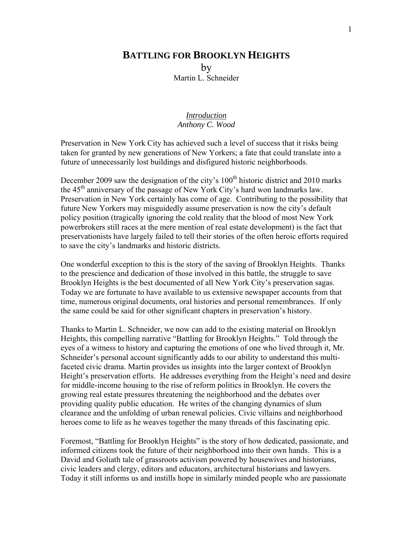## **BATTLING FOR BROOKLYN HEIGHTS** by

Martin L. Schneider

## *Introduction Anthony C. Wood*

Preservation in New York City has achieved such a level of success that it risks being taken for granted by new generations of New Yorkers; a fate that could translate into a future of unnecessarily lost buildings and disfigured historic neighborhoods.

December 2009 saw the designation of the city's  $100<sup>th</sup>$  historic district and 2010 marks the 45<sup>th</sup> anniversary of the passage of New York City's hard won landmarks law. Preservation in New York certainly has come of age. Contributing to the possibility that future New Yorkers may misguidedly assume preservation is now the city's default policy position (tragically ignoring the cold reality that the blood of most New York powerbrokers still races at the mere mention of real estate development) is the fact that preservationists have largely failed to tell their stories of the often heroic efforts required to save the city's landmarks and historic districts.

One wonderful exception to this is the story of the saving of Brooklyn Heights. Thanks to the prescience and dedication of those involved in this battle, the struggle to save Brooklyn Heights is the best documented of all New York City's preservation sagas. Today we are fortunate to have available to us extensive newspaper accounts from that time, numerous original documents, oral histories and personal remembrances. If only the same could be said for other significant chapters in preservation's history.

Thanks to Martin L. Schneider, we now can add to the existing material on Brooklyn Heights, this compelling narrative "Battling for Brooklyn Heights." Told through the eyes of a witness to history and capturing the emotions of one who lived through it, Mr. Schneider's personal account significantly adds to our ability to understand this multifaceted civic drama. Martin provides us insights into the larger context of Brooklyn Height's preservation efforts. He addresses everything from the Height's need and desire for middle-income housing to the rise of reform politics in Brooklyn. He covers the growing real estate pressures threatening the neighborhood and the debates over providing quality public education. He writes of the changing dynamics of slum clearance and the unfolding of urban renewal policies. Civic villains and neighborhood heroes come to life as he weaves together the many threads of this fascinating epic.

Foremost, "Battling for Brooklyn Heights" is the story of how dedicated, passionate, and informed citizens took the future of their neighborhood into their own hands. This is a David and Goliath tale of grassroots activism powered by housewives and historians, civic leaders and clergy, editors and educators, architectural historians and lawyers. Today it still informs us and instills hope in similarly minded people who are passionate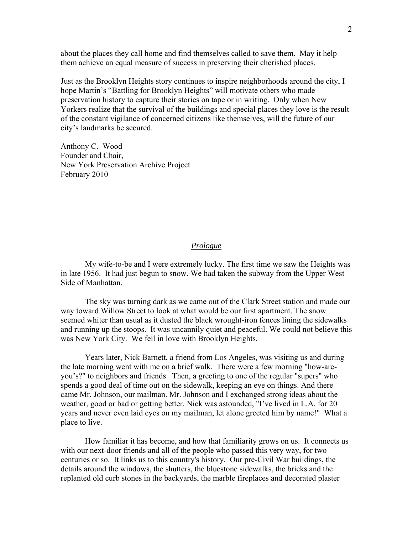about the places they call home and find themselves called to save them. May it help them achieve an equal measure of success in preserving their cherished places.

Just as the Brooklyn Heights story continues to inspire neighborhoods around the city, I hope Martin's "Battling for Brooklyn Heights" will motivate others who made preservation history to capture their stories on tape or in writing. Only when New Yorkers realize that the survival of the buildings and special places they love is the result of the constant vigilance of concerned citizens like themselves, will the future of our city's landmarks be secured.

Anthony C. Wood Founder and Chair, New York Preservation Archive Project February 2010

## *Prologue*

 My wife-to-be and I were extremely lucky. The first time we saw the Heights was in late 1956. It had just begun to snow. We had taken the subway from the Upper West Side of Manhattan.

 The sky was turning dark as we came out of the Clark Street station and made our way toward Willow Street to look at what would be our first apartment. The snow seemed whiter than usual as it dusted the black wrought-iron fences lining the sidewalks and running up the stoops. It was uncannily quiet and peaceful. We could not believe this was New York City. We fell in love with Brooklyn Heights.

 Years later, Nick Barnett, a friend from Los Angeles, was visiting us and during the late morning went with me on a brief walk. There were a few morning "how-areyou's?" to neighbors and friends. Then, a greeting to one of the regular "supers" who spends a good deal of time out on the sidewalk, keeping an eye on things. And there came Mr. Johnson, our mailman. Mr. Johnson and I exchanged strong ideas about the weather, good or bad or getting better. Nick was astounded, "I've lived in L.A. for 20 years and never even laid eyes on my mailman, let alone greeted him by name!" What a place to live.

 How familiar it has become, and how that familiarity grows on us. It connects us with our next-door friends and all of the people who passed this very way, for two centuries or so. It links us to this country's history. Our pre-Civil War buildings, the details around the windows, the shutters, the bluestone sidewalks, the bricks and the replanted old curb stones in the backyards, the marble fireplaces and decorated plaster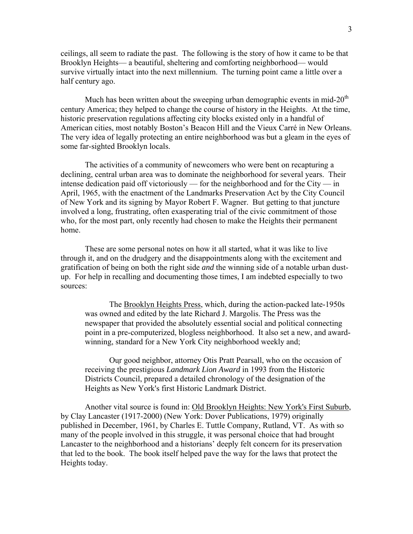ceilings, all seem to radiate the past. The following is the story of how it came to be that Brooklyn Heights— a beautiful, sheltering and comforting neighborhood— would survive virtually intact into the next millennium. The turning point came a little over a half century ago.

Much has been written about the sweeping urban demographic events in mid- $20<sup>th</sup>$ century America; they helped to change the course of history in the Heights. At the time, historic preservation regulations affecting city blocks existed only in a handful of American cities, most notably Boston's Beacon Hill and the Vieux Carré in New Orleans. The very idea of legally protecting an entire neighborhood was but a gleam in the eyes of some far-sighted Brooklyn locals.

 The activities of a community of newcomers who were bent on recapturing a declining, central urban area was to dominate the neighborhood for several years. Their intense dedication paid off victoriously — for the neighborhood and for the City — in April, 1965, with the enactment of the Landmarks Preservation Act by the City Council of New York and its signing by Mayor Robert F. Wagner. But getting to that juncture involved a long, frustrating, often exasperating trial of the civic commitment of those who, for the most part, only recently had chosen to make the Heights their permanent home.

 These are some personal notes on how it all started, what it was like to live through it, and on the drudgery and the disappointments along with the excitement and gratification of being on both the right side *and* the winning side of a notable urban dustup. For help in recalling and documenting those times, I am indebted especially to two sources:

 The Brooklyn Heights Press, which, during the action-packed late-1950s was owned and edited by the late Richard J. Margolis. The Press was the newspaper that provided the absolutely essential social and political connecting point in a pre-computerized, blogless neighborhood. It also set a new, and awardwinning, standard for a New York City neighborhood weekly and;

 Our good neighbor, attorney Otis Pratt Pearsall, who on the occasion of receiving the prestigious *Landmark Lion Award* in 1993 from the Historic Districts Council, prepared a detailed chronology of the designation of the Heights as New York's first Historic Landmark District.

 Another vital source is found in: Old Brooklyn Heights: New York's First Suburb, by Clay Lancaster (1917-2000) (New York: Dover Publications, 1979) originally published in December, 1961, by Charles E. Tuttle Company, Rutland, VT. As with so many of the people involved in this struggle, it was personal choice that had brought Lancaster to the neighborhood and a historians' deeply felt concern for its preservation that led to the book. The book itself helped pave the way for the laws that protect the Heights today.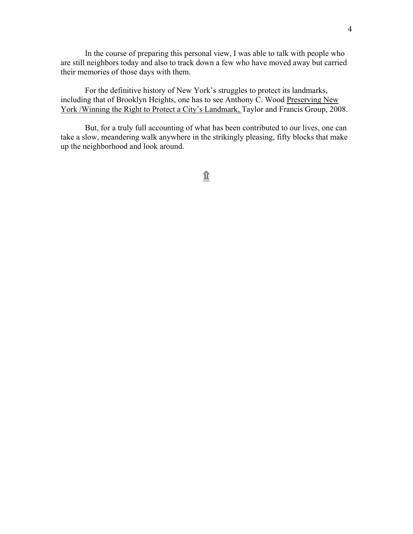In the course of preparing this personal view, I was able to talk with people who are still neighbors today and also to track down a few who have moved away but carried their memories of those days with them.

 For the definitive history of New York's struggles to protect its landmarks, including that of Brooklyn Heights, one has to see Anthony C. Wood Preserving New York /Winning the Right to Protect a City's Landmark, Taylor and Francis Group, 2008.

 But, for a truly full accounting of what has been contributed to our lives, one can take a slow, meandering walk anywhere in the strikingly pleasing, fifty blocks that make up the neighborhood and look around.

 $\hat{\mathbb{I}}$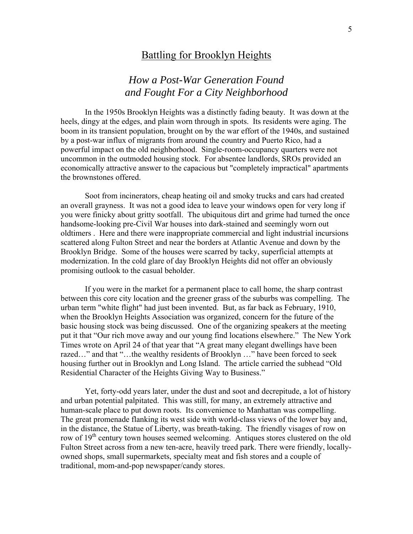# Battling for Brooklyn Heights

# *How a Post-War Generation Found and Fought For a City Neighborhood*

 In the 1950s Brooklyn Heights was a distinctly fading beauty. It was down at the heels, dingy at the edges, and plain worn through in spots. Its residents were aging. The boom in its transient population, brought on by the war effort of the 1940s, and sustained by a post-war influx of migrants from around the country and Puerto Rico, had a powerful impact on the old neighborhood. Single-room-occupancy quarters were not uncommon in the outmoded housing stock. For absentee landlords, SROs provided an economically attractive answer to the capacious but "completely impractical" apartments the brownstones offered.

 Soot from incinerators, cheap heating oil and smoky trucks and cars had created an overall grayness. It was not a good idea to leave your windows open for very long if you were finicky about gritty sootfall. The ubiquitous dirt and grime had turned the once handsome-looking pre-Civil War houses into dark-stained and seemingly worn out oldtimers . Here and there were inappropriate commercial and light industrial incursions scattered along Fulton Street and near the borders at Atlantic Avenue and down by the Brooklyn Bridge. Some of the houses were scarred by tacky, superficial attempts at modernization. In the cold glare of day Brooklyn Heights did not offer an obviously promising outlook to the casual beholder.

 If you were in the market for a permanent place to call home, the sharp contrast between this core city location and the greener grass of the suburbs was compelling. The urban term "white flight" had just been invented. But, as far back as February, 1910, when the Brooklyn Heights Association was organized, concern for the future of the basic housing stock was being discussed. One of the organizing speakers at the meeting put it that "Our rich move away and our young find locations elsewhere." The New York Times wrote on April 24 of that year that "A great many elegant dwellings have been razed…" and that "…the wealthy residents of Brooklyn …" have been forced to seek housing further out in Brooklyn and Long Island. The article carried the subhead "Old Residential Character of the Heights Giving Way to Business."

 Yet, forty-odd years later, under the dust and soot and decrepitude, a lot of history and urban potential palpitated. This was still, for many, an extremely attractive and human-scale place to put down roots. Its convenience to Manhattan was compelling. The great promenade flanking its west side with world-class views of the lower bay and, in the distance, the Statue of Liberty, was breath-taking. The friendly visages of row on row of 19<sup>th</sup> century town houses seemed welcoming. Antiques stores clustered on the old Fulton Street across from a new ten-acre, heavily treed park. There were friendly, locallyowned shops, small supermarkets, specialty meat and fish stores and a couple of traditional, mom-and-pop newspaper/candy stores.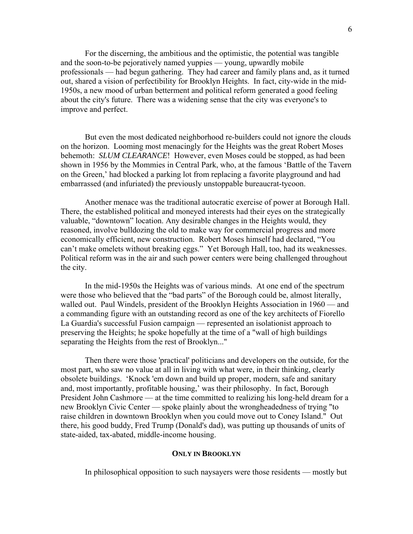For the discerning, the ambitious and the optimistic, the potential was tangible and the soon-to-be pejoratively named yuppies — young, upwardly mobile professionals — had begun gathering. They had career and family plans and, as it turned out, shared a vision of perfectibility for Brooklyn Heights. In fact, city-wide in the mid-1950s, a new mood of urban betterment and political reform generated a good feeling about the city's future. There was a widening sense that the city was everyone's to improve and perfect.

 But even the most dedicated neighborhood re-builders could not ignore the clouds on the horizon. Looming most menacingly for the Heights was the great Robert Moses behemoth: *SLUM CLEARANCE*! However, even Moses could be stopped, as had been shown in 1956 by the Mommies in Central Park, who, at the famous 'Battle of the Tavern on the Green,' had blocked a parking lot from replacing a favorite playground and had embarrassed (and infuriated) the previously unstoppable bureaucrat-tycoon.

 Another menace was the traditional autocratic exercise of power at Borough Hall. There, the established political and moneyed interests had their eyes on the strategically valuable, "downtown" location. Any desirable changes in the Heights would, they reasoned, involve bulldozing the old to make way for commercial progress and more economically efficient, new construction. Robert Moses himself had declared, "You can't make omelets without breaking eggs." Yet Borough Hall, too, had its weaknesses. Political reform was in the air and such power centers were being challenged throughout the city.

 In the mid-1950s the Heights was of various minds. At one end of the spectrum were those who believed that the "bad parts" of the Borough could be, almost literally, walled out. Paul Windels, president of the Brooklyn Heights Association in 1960 — and a commanding figure with an outstanding record as one of the key architects of Fiorello La Guardia's successful Fusion campaign — represented an isolationist approach to preserving the Heights; he spoke hopefully at the time of a "wall of high buildings separating the Heights from the rest of Brooklyn..."

 Then there were those 'practical' politicians and developers on the outside, for the most part, who saw no value at all in living with what were, in their thinking, clearly obsolete buildings. 'Knock 'em down and build up proper, modern, safe and sanitary and, most importantly, profitable housing,' was their philosophy. In fact, Borough President John Cashmore — at the time committed to realizing his long-held dream for a new Brooklyn Civic Center — spoke plainly about the wrongheadedness of trying "to raise children in downtown Brooklyn when you could move out to Coney Island." Out there, his good buddy, Fred Trump (Donald's dad), was putting up thousands of units of state-aided, tax-abated, middle-income housing.

### **ONLY IN BROOKLYN**

In philosophical opposition to such naysayers were those residents — mostly but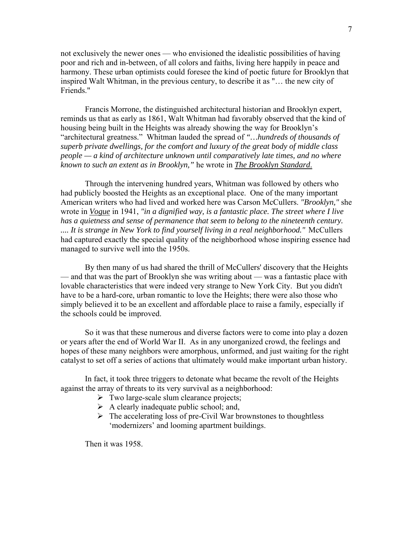not exclusively the newer ones — who envisioned the idealistic possibilities of having poor and rich and in-between, of all colors and faiths, living here happily in peace and harmony. These urban optimists could foresee the kind of poetic future for Brooklyn that inspired Walt Whitman, in the previous century, to describe it as "… the new city of Friends."

 Francis Morrone, the distinguished architectural historian and Brooklyn expert, reminds us that as early as 1861, Walt Whitman had favorably observed that the kind of housing being built in the Heights was already showing the way for Brooklyn's "architectural greatness." Whitman lauded the spread of *"…hundreds of thousands of superb private dwellings, for the comfort and luxury of the great body of middle class people — a kind of architecture unknown until comparatively late times, and no where known to such an extent as in Brooklyn,"* he wrote in *The Brooklyn Standard*.

 Through the intervening hundred years, Whitman was followed by others who had publicly boosted the Heights as an exceptional place. One of the many important American writers who had lived and worked here was Carson McCullers. *"Brooklyn,"* she wrote in *Vogue* in 1941, *"in a dignified way, is a fantastic place. The street where I live has a quietness and sense of permanence that seem to belong to the nineteenth century. .... It is strange in New York to find yourself living in a real neighborhood."* McCullers had captured exactly the special quality of the neighborhood whose inspiring essence had managed to survive well into the 1950s.

 By then many of us had shared the thrill of McCullers' discovery that the Heights — and that was the part of Brooklyn she was writing about — was a fantastic place with lovable characteristics that were indeed very strange to New York City. But you didn't have to be a hard-core, urban romantic to love the Heights; there were also those who simply believed it to be an excellent and affordable place to raise a family, especially if the schools could be improved.

 So it was that these numerous and diverse factors were to come into play a dozen or years after the end of World War II. As in any unorganized crowd, the feelings and hopes of these many neighbors were amorphous, unformed, and just waiting for the right catalyst to set off a series of actions that ultimately would make important urban history.

 In fact, it took three triggers to detonate what became the revolt of the Heights against the array of threats to its very survival as a neighborhood:

- $\triangleright$  Two large-scale slum clearance projects;
- $\triangleright$  A clearly inadequate public school; and,
- $\triangleright$  The accelerating loss of pre-Civil War brownstones to thoughtless 'modernizers' and looming apartment buildings.

Then it was 1958.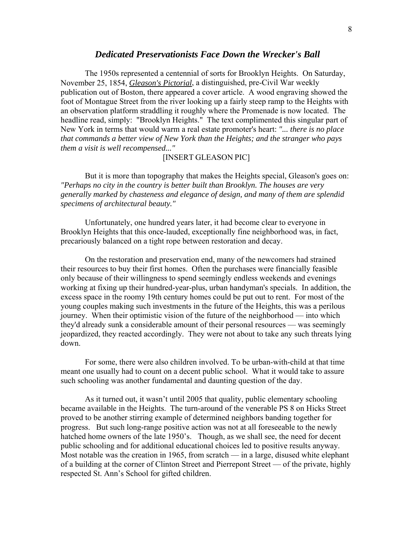## *Dedicated Preservationists Face Down the Wrecker's Ball*

 The 1950s represented a centennial of sorts for Brooklyn Heights. On Saturday, November 25, 1854, *Gleason's Pictorial*, a distinguished, pre-Civil War weekly publication out of Boston, there appeared a cover article. A wood engraving showed the foot of Montague Street from the river looking up a fairly steep ramp to the Heights with an observation platform straddling it roughly where the Promenade is now located. The headline read, simply: "Brooklyn Heights." The text complimented this singular part of New York in terms that would warm a real estate promoter's heart: *"... there is no place that commands a better view of New York than the Heights; and the stranger who pays them a visit is well recompensed..."* 

## [INSERT GLEASON PIC]

 But it is more than topography that makes the Heights special, Gleason's goes on: *"Perhaps no city in the country is better built than Brooklyn. The houses are very generally marked by chasteness and elegance of design, and many of them are splendid specimens of architectural beauty."* 

 Unfortunately, one hundred years later, it had become clear to everyone in Brooklyn Heights that this once-lauded, exceptionally fine neighborhood was, in fact, precariously balanced on a tight rope between restoration and decay.

 On the restoration and preservation end, many of the newcomers had strained their resources to buy their first homes. Often the purchases were financially feasible only because of their willingness to spend seemingly endless weekends and evenings working at fixing up their hundred-year-plus, urban handyman's specials. In addition, the excess space in the roomy 19th century homes could be put out to rent. For most of the young couples making such investments in the future of the Heights, this was a perilous journey. When their optimistic vision of the future of the neighborhood — into which they'd already sunk a considerable amount of their personal resources — was seemingly jeopardized, they reacted accordingly. They were not about to take any such threats lying down.

 For some, there were also children involved. To be urban-with-child at that time meant one usually had to count on a decent public school. What it would take to assure such schooling was another fundamental and daunting question of the day.

 As it turned out, it wasn't until 2005 that quality, public elementary schooling became available in the Heights. The turn-around of the venerable PS 8 on Hicks Street proved to be another stirring example of determined neighbors banding together for progress. But such long-range positive action was not at all foreseeable to the newly hatched home owners of the late 1950's. Though, as we shall see, the need for decent public schooling and for additional educational choices led to positive results anyway. Most notable was the creation in 1965, from scratch — in a large, disused white elephant of a building at the corner of Clinton Street and Pierrepont Street — of the private, highly respected St. Ann's School for gifted children.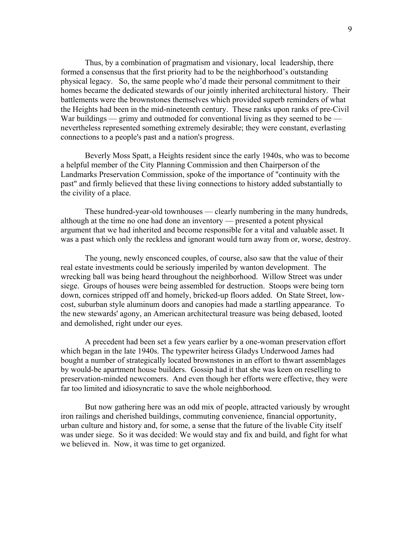Thus, by a combination of pragmatism and visionary, local leadership, there formed a consensus that the first priority had to be the neighborhood's outstanding physical legacy. So, the same people who'd made their personal commitment to their homes became the dedicated stewards of our jointly inherited architectural history. Their battlements were the brownstones themselves which provided superb reminders of what the Heights had been in the mid-nineteenth century. These ranks upon ranks of pre-Civil War buildings — grimy and outmoded for conventional living as they seemed to be nevertheless represented something extremely desirable; they were constant, everlasting connections to a people's past and a nation's progress.

 Beverly Moss Spatt, a Heights resident since the early 1940s, who was to become a helpful member of the City Planning Commission and then Chairperson of the Landmarks Preservation Commission, spoke of the importance of "continuity with the past" and firmly believed that these living connections to history added substantially to the civility of a place.

 These hundred-year-old townhouses — clearly numbering in the many hundreds, although at the time no one had done an inventory — presented a potent physical argument that we had inherited and become responsible for a vital and valuable asset. It was a past which only the reckless and ignorant would turn away from or, worse, destroy.

 The young, newly ensconced couples, of course, also saw that the value of their real estate investments could be seriously imperiled by wanton development. The wrecking ball was being heard throughout the neighborhood. Willow Street was under siege. Groups of houses were being assembled for destruction. Stoops were being torn down, cornices stripped off and homely, bricked-up floors added. On State Street, lowcost, suburban style aluminum doors and canopies had made a startling appearance. To the new stewards' agony, an American architectural treasure was being debased, looted and demolished, right under our eyes.

 A precedent had been set a few years earlier by a one-woman preservation effort which began in the late 1940s. The typewriter heiress Gladys Underwood James had bought a number of strategically located brownstones in an effort to thwart assemblages by would-be apartment house builders. Gossip had it that she was keen on reselling to preservation-minded newcomers. And even though her efforts were effective, they were far too limited and idiosyncratic to save the whole neighborhood.

 But now gathering here was an odd mix of people, attracted variously by wrought iron railings and cherished buildings, commuting convenience, financial opportunity, urban culture and history and, for some, a sense that the future of the livable City itself was under siege. So it was decided: We would stay and fix and build, and fight for what we believed in. Now, it was time to get organized.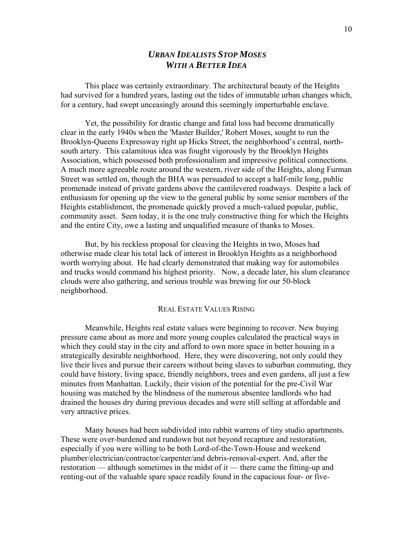## *URBAN IDEALISTS STOP MOSES WITH A BETTER IDEA*

 This place was certainly extraordinary. The architectural beauty of the Heights had survived for a hundred years, lasting out the tides of immutable urban changes which, for a century, had swept unceasingly around this seemingly imperturbable enclave.

 Yet, the possibility for drastic change and fatal loss had become dramatically clear in the early 1940s when the 'Master Builder,' Robert Moses, sought to run the Brooklyn-Queens Expressway right up Hicks Street, the neighborhood's central, northsouth artery. This calamitous idea was fought vigorously by the Brooklyn Heights Association, which possessed both professionalism and impressive political connections. A much more agreeable route around the western, river side of the Heights, along Furman Street was settled on, though the BHA was persuaded to accept a half-mile long, public promenade instead of private gardens above the cantilevered roadways. Despite a lack of enthusiasm for opening up the view to the general public by some senior members of the Heights establishment, the promenade quickly proved a much-valued popular, public, community asset. Seen today, it is the one truly constructive thing for which the Heights and the entire City, owe a lasting and unqualified measure of thanks to Moses.

 But, by his reckless proposal for cleaving the Heights in two, Moses had otherwise made clear his total lack of interest in Brooklyn Heights as a neighborhood worth worrying about. He had clearly demonstrated that making way for automobiles and trucks would command his highest priority. Now, a decade later, his slum clearance clouds were also gathering, and serious trouble was brewing for our 50-block neighborhood.

## REAL ESTATE VALUES RISING

 Meanwhile, Heights real estate values were beginning to recover. New buying pressure came about as more and more young couples calculated the practical ways in which they could stay in the city and afford to own more space in better housing in a strategically desirable neighborhood. Here, they were discovering, not only could they live their lives and pursue their careers without being slaves to suburban commuting, they could have history, living space, friendly neighbors, trees and even gardens, all just a few minutes from Manhattan. Luckily, their vision of the potential for the pre-Civil War housing was matched by the blindness of the numerous absentee landlords who had drained the houses dry during previous decades and were still selling at affordable and very attractive prices.

 Many houses had been subdivided into rabbit warrens of tiny studio apartments. These were over-burdened and rundown but not beyond recapture and restoration, especially if you were willing to be both Lord-of-the-Town-House and weekend plumber/electrician/contractor/carpenter/and debris-removal-expert. And, after the restoration — although sometimes in the midst of it — there came the fitting-up and renting-out of the valuable spare space readily found in the capacious four- or five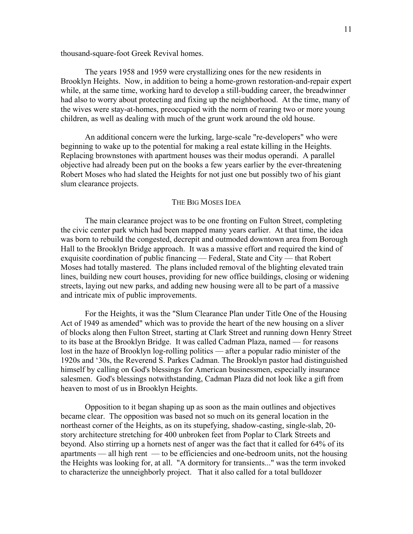thousand-square-foot Greek Revival homes.

 The years 1958 and 1959 were crystallizing ones for the new residents in Brooklyn Heights. Now, in addition to being a home-grown restoration-and-repair expert while, at the same time, working hard to develop a still-budding career, the breadwinner had also to worry about protecting and fixing up the neighborhood. At the time, many of the wives were stay-at-homes, preoccupied with the norm of rearing two or more young children, as well as dealing with much of the grunt work around the old house.

 An additional concern were the lurking, large-scale "re-developers" who were beginning to wake up to the potential for making a real estate killing in the Heights. Replacing brownstones with apartment houses was their modus operandi. A parallel objective had already been put on the books a few years earlier by the ever-threatening Robert Moses who had slated the Heights for not just one but possibly two of his giant slum clearance projects.

#### THE BIG MOSES IDEA

 The main clearance project was to be one fronting on Fulton Street, completing the civic center park which had been mapped many years earlier. At that time, the idea was born to rebuild the congested, decrepit and outmoded downtown area from Borough Hall to the Brooklyn Bridge approach. It was a massive effort and required the kind of exquisite coordination of public financing — Federal, State and City — that Robert Moses had totally mastered. The plans included removal of the blighting elevated train lines, building new court houses, providing for new office buildings, closing or widening streets, laying out new parks, and adding new housing were all to be part of a massive and intricate mix of public improvements.

 For the Heights, it was the "Slum Clearance Plan under Title One of the Housing Act of 1949 as amended" which was to provide the heart of the new housing on a sliver of blocks along then Fulton Street, starting at Clark Street and running down Henry Street to its base at the Brooklyn Bridge. It was called Cadman Plaza, named — for reasons lost in the haze of Brooklyn log-rolling politics — after a popular radio minister of the 1920s and '30s, the Reverend S. Parkes Cadman. The Brooklyn pastor had distinguished himself by calling on God's blessings for American businessmen, especially insurance salesmen. God's blessings notwithstanding, Cadman Plaza did not look like a gift from heaven to most of us in Brooklyn Heights.

 Opposition to it began shaping up as soon as the main outlines and objectives became clear. The opposition was based not so much on its general location in the northeast corner of the Heights, as on its stupefying, shadow-casting, single-slab, 20 story architecture stretching for 400 unbroken feet from Poplar to Clark Streets and beyond. Also stirring up a hornets nest of anger was the fact that it called for 64% of its apartments — all high rent — to be efficiencies and one-bedroom units, not the housing the Heights was looking for, at all. "A dormitory for transients..." was the term invoked to characterize the unneighborly project. That it also called for a total bulldozer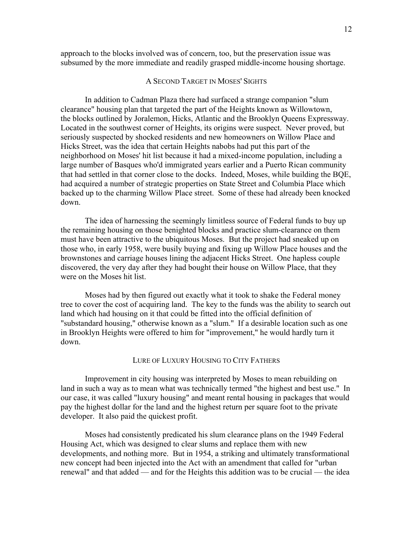approach to the blocks involved was of concern, too, but the preservation issue was subsumed by the more immediate and readily grasped middle-income housing shortage.

## A SECOND TARGET IN MOSES' SIGHTS

 In addition to Cadman Plaza there had surfaced a strange companion "slum clearance" housing plan that targeted the part of the Heights known as Willowtown, the blocks outlined by Joralemon, Hicks, Atlantic and the Brooklyn Queens Expressway. Located in the southwest corner of Heights, its origins were suspect. Never proved, but seriously suspected by shocked residents and new homeowners on Willow Place and Hicks Street, was the idea that certain Heights nabobs had put this part of the neighborhood on Moses' hit list because it had a mixed-income population, including a large number of Basques who'd immigrated years earlier and a Puerto Rican community that had settled in that corner close to the docks. Indeed, Moses, while building the BQE, had acquired a number of strategic properties on State Street and Columbia Place which backed up to the charming Willow Place street. Some of these had already been knocked down.

 The idea of harnessing the seemingly limitless source of Federal funds to buy up the remaining housing on those benighted blocks and practice slum-clearance on them must have been attractive to the ubiquitous Moses. But the project had sneaked up on those who, in early 1958, were busily buying and fixing up Willow Place houses and the brownstones and carriage houses lining the adjacent Hicks Street. One hapless couple discovered, the very day after they had bought their house on Willow Place, that they were on the Moses hit list.

 Moses had by then figured out exactly what it took to shake the Federal money tree to cover the cost of acquiring land. The key to the funds was the ability to search out land which had housing on it that could be fitted into the official definition of "substandard housing," otherwise known as a "slum." If a desirable location such as one in Brooklyn Heights were offered to him for "improvement," he would hardly turn it down.

#### LURE OF LUXURY HOUSING TO CITY FATHERS

 Improvement in city housing was interpreted by Moses to mean rebuilding on land in such a way as to mean what was technically termed "the highest and best use." In our case, it was called "luxury housing" and meant rental housing in packages that would pay the highest dollar for the land and the highest return per square foot to the private developer. It also paid the quickest profit.

 Moses had consistently predicated his slum clearance plans on the 1949 Federal Housing Act, which was designed to clear slums and replace them with new developments, and nothing more. But in 1954, a striking and ultimately transformational new concept had been injected into the Act with an amendment that called for "urban renewal" and that added — and for the Heights this addition was to be crucial — the idea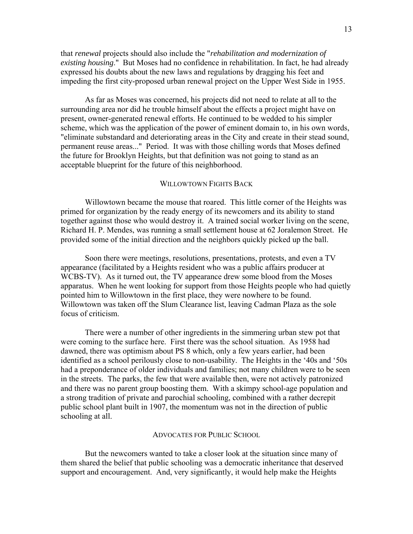that *renewal* projects should also include the "*rehabilitation and modernization of existing housing*." But Moses had no confidence in rehabilitation. In fact, he had already expressed his doubts about the new laws and regulations by dragging his feet and impeding the first city-proposed urban renewal project on the Upper West Side in 1955.

 As far as Moses was concerned, his projects did not need to relate at all to the surrounding area nor did he trouble himself about the effects a project might have on present, owner-generated renewal efforts. He continued to be wedded to his simpler scheme, which was the application of the power of eminent domain to, in his own words, "eliminate substandard and deteriorating areas in the City and create in their stead sound, permanent reuse areas..." Period. It was with those chilling words that Moses defined the future for Brooklyn Heights, but that definition was not going to stand as an acceptable blueprint for the future of this neighborhood.

#### WILLOWTOWN FIGHTS BACK

 Willowtown became the mouse that roared. This little corner of the Heights was primed for organization by the ready energy of its newcomers and its ability to stand together against those who would destroy it. A trained social worker living on the scene, Richard H. P. Mendes, was running a small settlement house at 62 Joralemon Street. He provided some of the initial direction and the neighbors quickly picked up the ball.

 Soon there were meetings, resolutions, presentations, protests, and even a TV appearance (facilitated by a Heights resident who was a public affairs producer at WCBS-TV). As it turned out, the TV appearance drew some blood from the Moses apparatus. When he went looking for support from those Heights people who had quietly pointed him to Willowtown in the first place, they were nowhere to be found. Willowtown was taken off the Slum Clearance list, leaving Cadman Plaza as the sole focus of criticism.

 There were a number of other ingredients in the simmering urban stew pot that were coming to the surface here. First there was the school situation. As 1958 had dawned, there was optimism about PS 8 which, only a few years earlier, had been identified as a school perilously close to non-usability. The Heights in the '40s and '50s had a preponderance of older individuals and families; not many children were to be seen in the streets. The parks, the few that were available then, were not actively patronized and there was no parent group boosting them. With a skimpy school-age population and a strong tradition of private and parochial schooling, combined with a rather decrepit public school plant built in 1907, the momentum was not in the direction of public schooling at all.

#### ADVOCATES FOR PUBLIC SCHOOL

 But the newcomers wanted to take a closer look at the situation since many of them shared the belief that public schooling was a democratic inheritance that deserved support and encouragement. And, very significantly, it would help make the Heights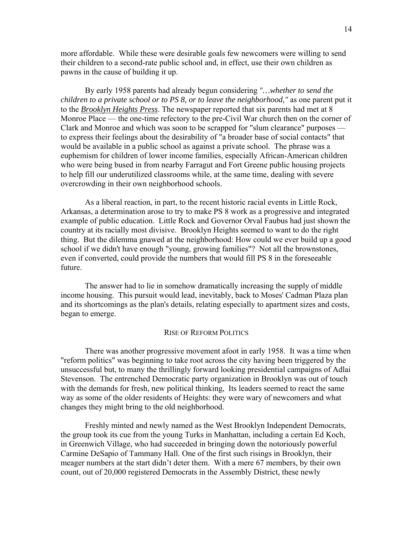more affordable. While these were desirable goals few newcomers were willing to send their children to a second-rate public school and, in effect, use their own children as pawns in the cause of building it up.

 By early 1958 parents had already begun considering *"…whether to send the children to a private school or to PS 8, or to leave the neighborhood,"* as one parent put it to the *Brooklyn Heights Press*. The newspaper reported that six parents had met at 8 Monroe Place — the one-time refectory to the pre-Civil War church then on the corner of Clark and Monroe and which was soon to be scrapped for "slum clearance" purposes to express their feelings about the desirability of "a broader base of social contacts" that would be available in a public school as against a private school. The phrase was a euphemism for children of lower income families, especially African-American children who were being bused in from nearby Farragut and Fort Greene public housing projects to help fill our underutilized classrooms while, at the same time, dealing with severe overcrowding in their own neighborhood schools.

 As a liberal reaction, in part, to the recent historic racial events in Little Rock, Arkansas, a determination arose to try to make PS 8 work as a progressive and integrated example of public education. Little Rock and Governor Orval Faubus had just shown the country at its racially most divisive. Brooklyn Heights seemed to want to do the right thing. But the dilemma gnawed at the neighborhood: How could we ever build up a good school if we didn't have enough "young, growing families"? Not all the brownstones, even if converted, could provide the numbers that would fill PS 8 in the foreseeable future.

 The answer had to lie in somehow dramatically increasing the supply of middle income housing. This pursuit would lead, inevitably, back to Moses' Cadman Plaza plan and its shortcomings as the plan's details, relating especially to apartment sizes and costs, began to emerge.

#### RISE OF REFORM POLITICS

 There was another progressive movement afoot in early 1958. It was a time when "reform politics" was beginning to take root across the city having been triggered by the unsuccessful but, to many the thrillingly forward looking presidential campaigns of Adlai Stevenson. The entrenched Democratic party organization in Brooklyn was out of touch with the demands for fresh, new political thinking, Its leaders seemed to react the same way as some of the older residents of Heights: they were wary of newcomers and what changes they might bring to the old neighborhood.

 Freshly minted and newly named as the West Brooklyn Independent Democrats, the group took its cue from the young Turks in Manhattan, including a certain Ed Koch, in Greenwich Village, who had succeeded in bringing down the notoriously powerful Carmine DeSapio of Tammany Hall. One of the first such risings in Brooklyn, their meager numbers at the start didn't deter them. With a mere 67 members, by their own count, out of 20,000 registered Democrats in the Assembly District, these newly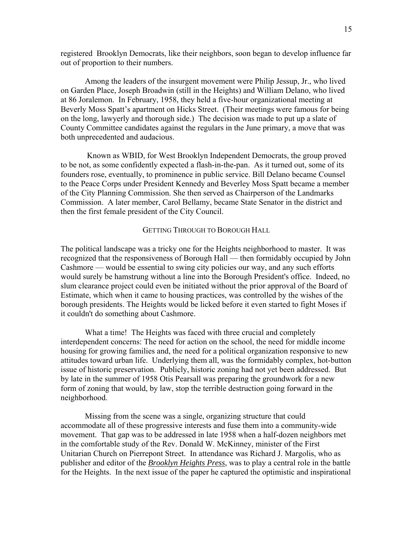registered Brooklyn Democrats, like their neighbors, soon began to develop influence far out of proportion to their numbers.

 Among the leaders of the insurgent movement were Philip Jessup, Jr., who lived on Garden Place, Joseph Broadwin (still in the Heights) and William Delano, who lived at 86 Joralemon. In February, 1958, they held a five-hour organizational meeting at Beverly Moss Spatt's apartment on Hicks Street. (Their meetings were famous for being on the long, lawyerly and thorough side.) The decision was made to put up a slate of County Committee candidates against the regulars in the June primary, a move that was both unprecedented and audacious.

 Known as WBID, for West Brooklyn Independent Democrats, the group proved to be not, as some confidently expected a flash-in-the-pan. As it turned out, some of its founders rose, eventually, to prominence in public service. Bill Delano became Counsel to the Peace Corps under President Kennedy and Beverley Moss Spatt became a member of the City Planning Commission. She then served as Chairperson of the Landmarks Commission. A later member, Carol Bellamy, became State Senator in the district and then the first female president of the City Council.

## GETTING THROUGH TO BOROUGH HALL

The political landscape was a tricky one for the Heights neighborhood to master. It was recognized that the responsiveness of Borough Hall — then formidably occupied by John Cashmore — would be essential to swing city policies our way, and any such efforts would surely be hamstrung without a line into the Borough President's office. Indeed, no slum clearance project could even be initiated without the prior approval of the Board of Estimate, which when it came to housing practices, was controlled by the wishes of the borough presidents. The Heights would be licked before it even started to fight Moses if it couldn't do something about Cashmore.

 What a time! The Heights was faced with three crucial and completely interdependent concerns: The need for action on the school, the need for middle income housing for growing families and, the need for a political organization responsive to new attitudes toward urban life. Underlying them all, was the formidably complex, hot-button issue of historic preservation. Publicly, historic zoning had not yet been addressed. But by late in the summer of 1958 Otis Pearsall was preparing the groundwork for a new form of zoning that would, by law, stop the terrible destruction going forward in the neighborhood.

 Missing from the scene was a single, organizing structure that could accommodate all of these progressive interests and fuse them into a community-wide movement. That gap was to be addressed in late 1958 when a half-dozen neighbors met in the comfortable study of the Rev. Donald W. McKinney, minister of the First Unitarian Church on Pierrepont Street. In attendance was Richard J. Margolis, who as publisher and editor of the *Brooklyn Heights Press*, was to play a central role in the battle for the Heights. In the next issue of the paper he captured the optimistic and inspirational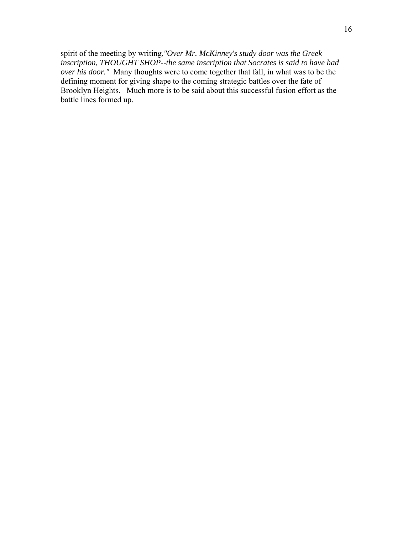spirit of the meeting by writing,*"Over Mr. McKinney's study door was the Greek inscription, THOUGHT SHOP--the same inscription that Socrates is said to have had over his door."* Many thoughts were to come together that fall, in what was to be the defining moment for giving shape to the coming strategic battles over the fate of Brooklyn Heights. Much more is to be said about this successful fusion effort as the battle lines formed up.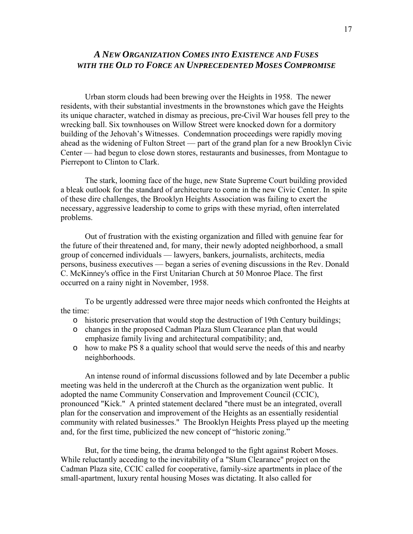## *A NEW ORGANIZATION COMES INTO EXISTENCE AND FUSES WITH THE OLD TO FORCE AN UNPRECEDENTED MOSES COMPROMISE*

 Urban storm clouds had been brewing over the Heights in 1958. The newer residents, with their substantial investments in the brownstones which gave the Heights its unique character, watched in dismay as precious, pre-Civil War houses fell prey to the wrecking ball. Six townhouses on Willow Street were knocked down for a dormitory building of the Jehovah's Witnesses. Condemnation proceedings were rapidly moving ahead as the widening of Fulton Street — part of the grand plan for a new Brooklyn Civic Center — had begun to close down stores, restaurants and businesses, from Montague to Pierrepont to Clinton to Clark.

 The stark, looming face of the huge, new State Supreme Court building provided a bleak outlook for the standard of architecture to come in the new Civic Center. In spite of these dire challenges, the Brooklyn Heights Association was failing to exert the necessary, aggressive leadership to come to grips with these myriad, often interrelated problems.

 Out of frustration with the existing organization and filled with genuine fear for the future of their threatened and, for many, their newly adopted neighborhood, a small group of concerned individuals — lawyers, bankers, journalists, architects, media persons, business executives — began a series of evening discussions in the Rev. Donald C. McKinney's office in the First Unitarian Church at 50 Monroe Place. The first occurred on a rainy night in November, 1958.

 To be urgently addressed were three major needs which confronted the Heights at the time:

- o historic preservation that would stop the destruction of 19th Century buildings;
- o changes in the proposed Cadman Plaza Slum Clearance plan that would emphasize family living and architectural compatibility; and,
- o how to make PS 8 a quality school that would serve the needs of this and nearby neighborhoods.

 An intense round of informal discussions followed and by late December a public meeting was held in the undercroft at the Church as the organization went public. It adopted the name Community Conservation and Improvement Council (CCIC), pronounced "Kick." A printed statement declared "there must be an integrated, overall plan for the conservation and improvement of the Heights as an essentially residential community with related businesses." The Brooklyn Heights Press played up the meeting and, for the first time, publicized the new concept of "historic zoning."

 But, for the time being, the drama belonged to the fight against Robert Moses. While reluctantly acceding to the inevitability of a "Slum Clearance" project on the Cadman Plaza site, CCIC called for cooperative, family-size apartments in place of the small-apartment, luxury rental housing Moses was dictating. It also called for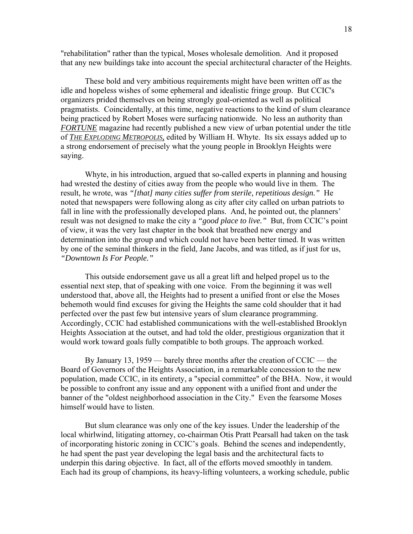"rehabilitation" rather than the typical, Moses wholesale demolition. And it proposed that any new buildings take into account the special architectural character of the Heights.

 These bold and very ambitious requirements might have been written off as the idle and hopeless wishes of some ephemeral and idealistic fringe group. But CCIC's organizers prided themselves on being strongly goal-oriented as well as political pragmatists. Coincidentally, at this time, negative reactions to the kind of slum clearance being practiced by Robert Moses were surfacing nationwide. No less an authority than *FORTUNE* magazine had recently published a new view of urban potential under the title of *THE EXPLODING METROPOLIS,* edited by William H. Whyte. Its six essays added up to a strong endorsement of precisely what the young people in Brooklyn Heights were saying.

 Whyte, in his introduction, argued that so-called experts in planning and housing had wrested the destiny of cities away from the people who would live in them. The result, he wrote, was *"[that] many cities suffer from sterile, repetitious design."* He noted that newspapers were following along as city after city called on urban patriots to fall in line with the professionally developed plans. And, he pointed out, the planners' result was not designed to make the city a *"good place to live."* But, from CCIC's point of view, it was the very last chapter in the book that breathed new energy and determination into the group and which could not have been better timed. It was written by one of the seminal thinkers in the field, Jane Jacobs, and was titled, as if just for us, *"Downtown Is For People."* 

 This outside endorsement gave us all a great lift and helped propel us to the essential next step, that of speaking with one voice. From the beginning it was well understood that, above all, the Heights had to present a unified front or else the Moses behemoth would find excuses for giving the Heights the same cold shoulder that it had perfected over the past few but intensive years of slum clearance programming. Accordingly, CCIC had established communications with the well-established Brooklyn Heights Association at the outset, and had told the older, prestigious organization that it would work toward goals fully compatible to both groups. The approach worked.

 By January 13, 1959 — barely three months after the creation of CCIC — the Board of Governors of the Heights Association, in a remarkable concession to the new population, made CCIC, in its entirety, a "special committee" of the BHA. Now, it would be possible to confront any issue and any opponent with a unified front and under the banner of the "oldest neighborhood association in the City." Even the fearsome Moses himself would have to listen.

 But slum clearance was only one of the key issues. Under the leadership of the local whirlwind, litigating attorney, co-chairman Otis Pratt Pearsall had taken on the task of incorporating historic zoning in CCIC's goals. Behind the scenes and independently, he had spent the past year developing the legal basis and the architectural facts to underpin this daring objective. In fact, all of the efforts moved smoothly in tandem. Each had its group of champions, its heavy-lifting volunteers, a working schedule, public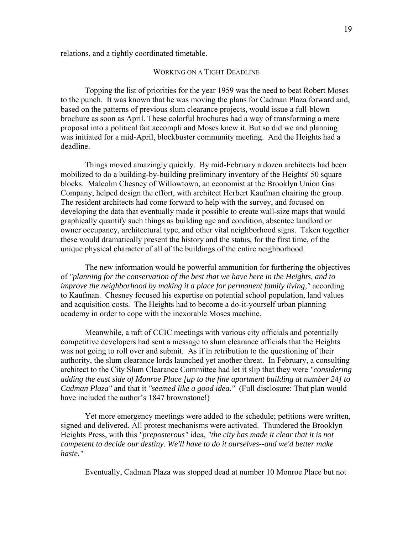relations, and a tightly coordinated timetable.

### WORKING ON A TIGHT DEADLINE

 Topping the list of priorities for the year 1959 was the need to beat Robert Moses to the punch. It was known that he was moving the plans for Cadman Plaza forward and, based on the patterns of previous slum clearance projects, would issue a full-blown brochure as soon as April. These colorful brochures had a way of transforming a mere proposal into a political fait accompli and Moses knew it. But so did we and planning was initiated for a mid-April, blockbuster community meeting. And the Heights had a deadline.

 Things moved amazingly quickly. By mid-February a dozen architects had been mobilized to do a building-by-building preliminary inventory of the Heights' 50 square blocks. Malcolm Chesney of Willowtown, an economist at the Brooklyn Union Gas Company, helped design the effort, with architect Herbert Kaufman chairing the group. The resident architects had come forward to help with the survey, and focused on developing the data that eventually made it possible to create wall-size maps that would graphically quantify such things as building age and condition, absentee landlord or owner occupancy, architectural type, and other vital neighborhood signs. Taken together these would dramatically present the history and the status, for the first time, of the unique physical character of all of the buildings of the entire neighborhood.

 The new information would be powerful ammunition for furthering the objectives of *"planning for the conservation of the best that we have here in the Heights, and to improve the neighborhood by making it a place for permanent family living,"* according to Kaufman. Chesney focused his expertise on potential school population, land values and acquisition costs. The Heights had to become a do-it-yourself urban planning academy in order to cope with the inexorable Moses machine.

 Meanwhile, a raft of CCIC meetings with various city officials and potentially competitive developers had sent a message to slum clearance officials that the Heights was not going to roll over and submit. As if in retribution to the questioning of their authority, the slum clearance lords launched yet another threat. In February, a consulting architect to the City Slum Clearance Committee had let it slip that they were *"considering adding the east side of Monroe Place [up to the fine apartment building at number 24] to Cadman Plaza"* and that it *"seemed like a good idea."* (Full disclosure: That plan would have included the author's 1847 brownstone!)

 Yet more emergency meetings were added to the schedule; petitions were written, signed and delivered. All protest mechanisms were activated. Thundered the Brooklyn Heights Press, with this *"preposterous"* idea, *"the city has made it clear that it is not competent to decide our destiny. We'll have to do it ourselves--and we'd better make haste."* 

Eventually, Cadman Plaza was stopped dead at number 10 Monroe Place but not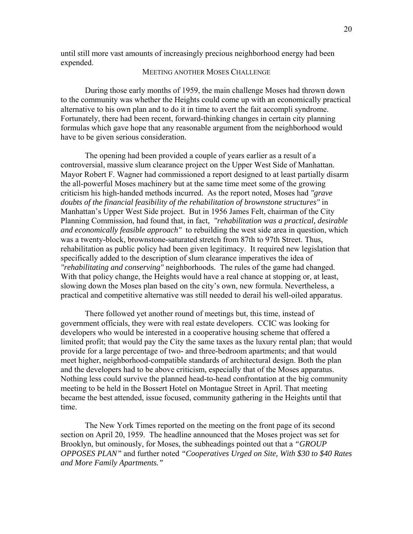until still more vast amounts of increasingly precious neighborhood energy had been expended.

## MEETING ANOTHER MOSES CHALLENGE

 During those early months of 1959, the main challenge Moses had thrown down to the community was whether the Heights could come up with an economically practical alternative to his own plan and to do it in time to avert the fait accompli syndrome. Fortunately, there had been recent, forward-thinking changes in certain city planning formulas which gave hope that any reasonable argument from the neighborhood would have to be given serious consideration.

 The opening had been provided a couple of years earlier as a result of a controversial, massive slum clearance project on the Upper West Side of Manhattan. Mayor Robert F. Wagner had commissioned a report designed to at least partially disarm the all-powerful Moses machinery but at the same time meet some of the growing criticism his high-handed methods incurred. As the report noted, Moses had *"grave doubts of the financial feasibility of the rehabilitation of brownstone structures"* in Manhattan's Upper West Side project. But in 1956 James Felt, chairman of the City Planning Commission, had found that, in fact, *"rehabilitation was a practical, desirable and economically feasible approach"* to rebuilding the west side area in question, which was a twenty-block, brownstone-saturated stretch from 87th to 97th Street. Thus, rehabilitation as public policy had been given legitimacy. It required new legislation that specifically added to the description of slum clearance imperatives the idea of *"rehabilitating and conserving"* neighborhoods. The rules of the game had changed. With that policy change, the Heights would have a real chance at stopping or, at least, slowing down the Moses plan based on the city's own, new formula. Nevertheless, a practical and competitive alternative was still needed to derail his well-oiled apparatus.

 There followed yet another round of meetings but, this time, instead of government officials, they were with real estate developers. CCIC was looking for developers who would be interested in a cooperative housing scheme that offered a limited profit; that would pay the City the same taxes as the luxury rental plan; that would provide for a large percentage of two- and three-bedroom apartments; and that would meet higher, neighborhood-compatible standards of architectural design. Both the plan and the developers had to be above criticism, especially that of the Moses apparatus. Nothing less could survive the planned head-to-head confrontation at the big community meeting to be held in the Bossert Hotel on Montague Street in April. That meeting became the best attended, issue focused, community gathering in the Heights until that time.

 The New York Times reported on the meeting on the front page of its second section on April 20, 1959. The headline announced that the Moses project was set for Brooklyn, but ominously, for Moses, the subheadings pointed out that a *"GROUP OPPOSES PLAN"* and further noted *"Cooperatives Urged on Site, With \$30 to \$40 Rates and More Family Apartments."*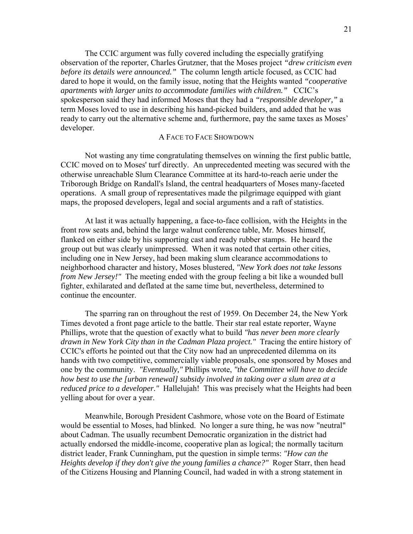The CCIC argument was fully covered including the especially gratifying observation of the reporter, Charles Grutzner, that the Moses project *"drew criticism even before its details were announced."* The column length article focused, as CCIC had dared to hope it would, on the family issue, noting that the Heights wanted *"cooperative apartments with larger units to accommodate families with children."* CCIC's spokesperson said they had informed Moses that they had a *"responsible developer,"* a term Moses loved to use in describing his hand-picked builders, and added that he was ready to carry out the alternative scheme and, furthermore, pay the same taxes as Moses' developer.

## A FACE TO FACE SHOWDOWN

 Not wasting any time congratulating themselves on winning the first public battle, CCIC moved on to Moses' turf directly. An unprecedented meeting was secured with the otherwise unreachable Slum Clearance Committee at its hard-to-reach aerie under the Triborough Bridge on Randall's Island, the central headquarters of Moses many-faceted operations. A small group of representatives made the pilgrimage equipped with giant maps, the proposed developers, legal and social arguments and a raft of statistics.

 At last it was actually happening, a face-to-face collision, with the Heights in the front row seats and, behind the large walnut conference table, Mr. Moses himself, flanked on either side by his supporting cast and ready rubber stamps. He heard the group out but was clearly unimpressed. When it was noted that certain other cities, including one in New Jersey, had been making slum clearance accommodations to neighborhood character and history, Moses blustered, *"New York does not take lessons from New Jersey!*" The meeting ended with the group feeling a bit like a wounded bull fighter, exhilarated and deflated at the same time but, nevertheless, determined to continue the encounter.

 The sparring ran on throughout the rest of 1959. On December 24, the New York Times devoted a front page article to the battle. Their star real estate reporter, Wayne Phillips, wrote that the question of exactly what to build *"has never been more clearly drawn in New York City than in the Cadman Plaza project."* Tracing the entire history of CCIC's efforts he pointed out that the City now had an unprecedented dilemma on its hands with two competitive, commercially viable proposals, one sponsored by Moses and one by the community. *"Eventually,"* Phillips wrote, *"the Committee will have to decide how best to use the [urban renewal] subsidy involved in taking over a slum area at a reduced price to a developer."* Hallelujah! This was precisely what the Heights had been yelling about for over a year.

 Meanwhile, Borough President Cashmore, whose vote on the Board of Estimate would be essential to Moses, had blinked. No longer a sure thing, he was now "neutral" about Cadman. The usually recumbent Democratic organization in the district had actually endorsed the middle-income, cooperative plan as logical; the normally taciturn district leader, Frank Cunningham, put the question in simple terms: *"How can the Heights develop if they don't give the young families a chance?"* Roger Starr, then head of the Citizens Housing and Planning Council, had waded in with a strong statement in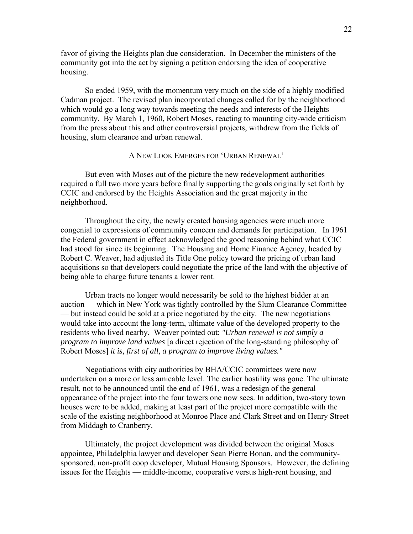favor of giving the Heights plan due consideration. In December the ministers of the community got into the act by signing a petition endorsing the idea of cooperative housing.

 So ended 1959, with the momentum very much on the side of a highly modified Cadman project. The revised plan incorporated changes called for by the neighborhood which would go a long way towards meeting the needs and interests of the Heights community. By March 1, 1960, Robert Moses, reacting to mounting city-wide criticism from the press about this and other controversial projects, withdrew from the fields of housing, slum clearance and urban renewal.

## A NEW LOOK EMERGES FOR 'URBAN RENEWAL'

 But even with Moses out of the picture the new redevelopment authorities required a full two more years before finally supporting the goals originally set forth by CCIC and endorsed by the Heights Association and the great majority in the neighborhood.

 Throughout the city, the newly created housing agencies were much more congenial to expressions of community concern and demands for participation. In 1961 the Federal government in effect acknowledged the good reasoning behind what CCIC had stood for since its beginning. The Housing and Home Finance Agency, headed by Robert C. Weaver, had adjusted its Title One policy toward the pricing of urban land acquisitions so that developers could negotiate the price of the land with the objective of being able to charge future tenants a lower rent.

 Urban tracts no longer would necessarily be sold to the highest bidder at an auction — which in New York was tightly controlled by the Slum Clearance Committee — but instead could be sold at a price negotiated by the city. The new negotiations would take into account the long-term, ultimate value of the developed property to the residents who lived nearby. Weaver pointed out: *"Urban renewal is not simply a program to improve land values* [a direct rejection of the long-standing philosophy of Robert Moses] *it is, first of all, a program to improve living values."*

 Negotiations with city authorities by BHA/CCIC committees were now undertaken on a more or less amicable level. The earlier hostility was gone. The ultimate result, not to be announced until the end of 1961, was a redesign of the general appearance of the project into the four towers one now sees. In addition, two-story town houses were to be added, making at least part of the project more compatible with the scale of the existing neighborhood at Monroe Place and Clark Street and on Henry Street from Middagh to Cranberry.

 Ultimately, the project development was divided between the original Moses appointee, Philadelphia lawyer and developer Sean Pierre Bonan, and the communitysponsored, non-profit coop developer, Mutual Housing Sponsors. However, the defining issues for the Heights — middle-income, cooperative versus high-rent housing, and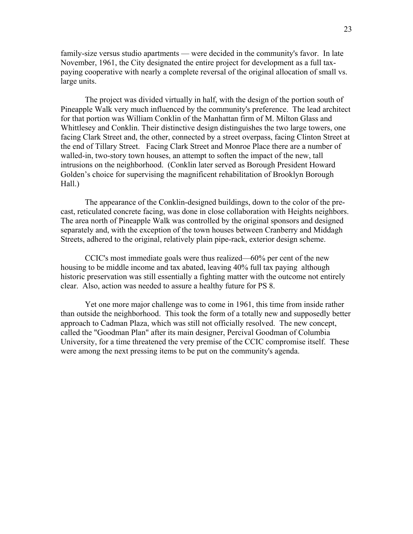family-size versus studio apartments — were decided in the community's favor. In late November, 1961, the City designated the entire project for development as a full taxpaying cooperative with nearly a complete reversal of the original allocation of small vs. large units.

 The project was divided virtually in half, with the design of the portion south of Pineapple Walk very much influenced by the community's preference. The lead architect for that portion was William Conklin of the Manhattan firm of M. Milton Glass and Whittlesey and Conklin. Their distinctive design distinguishes the two large towers, one facing Clark Street and, the other, connected by a street overpass, facing Clinton Street at the end of Tillary Street. Facing Clark Street and Monroe Place there are a number of walled-in, two-story town houses, an attempt to soften the impact of the new, tall intrusions on the neighborhood. (Conklin later served as Borough President Howard Golden's choice for supervising the magnificent rehabilitation of Brooklyn Borough Hall.)

 The appearance of the Conklin-designed buildings, down to the color of the precast, reticulated concrete facing, was done in close collaboration with Heights neighbors. The area north of Pineapple Walk was controlled by the original sponsors and designed separately and, with the exception of the town houses between Cranberry and Middagh Streets, adhered to the original, relatively plain pipe-rack, exterior design scheme.

 CCIC's most immediate goals were thus realized—60% per cent of the new housing to be middle income and tax abated, leaving 40% full tax paying although historic preservation was still essentially a fighting matter with the outcome not entirely clear. Also, action was needed to assure a healthy future for PS 8.

 Yet one more major challenge was to come in 1961, this time from inside rather than outside the neighborhood. This took the form of a totally new and supposedly better approach to Cadman Plaza, which was still not officially resolved. The new concept, called the "Goodman Plan" after its main designer, Percival Goodman of Columbia University, for a time threatened the very premise of the CCIC compromise itself. These were among the next pressing items to be put on the community's agenda.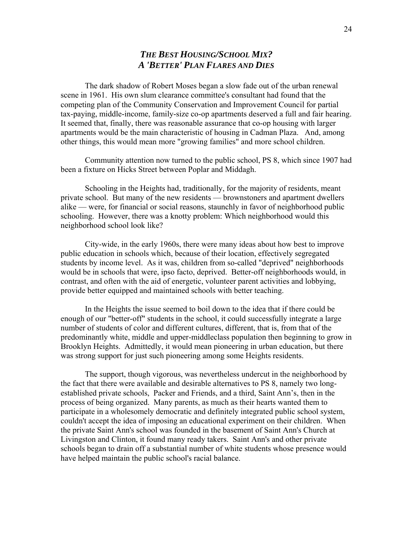## *THE BEST HOUSING/SCHOOL MIX? A 'BETTER' PLAN FLARES AND DIES*

 The dark shadow of Robert Moses began a slow fade out of the urban renewal scene in 1961. His own slum clearance committee's consultant had found that the competing plan of the Community Conservation and Improvement Council for partial tax-paying, middle-income, family-size co-op apartments deserved a full and fair hearing. It seemed that, finally, there was reasonable assurance that co-op housing with larger apartments would be the main characteristic of housing in Cadman Plaza. And, among other things, this would mean more "growing families" and more school children.

 Community attention now turned to the public school, PS 8, which since 1907 had been a fixture on Hicks Street between Poplar and Middagh.

 Schooling in the Heights had, traditionally, for the majority of residents, meant private school. But many of the new residents — brownstoners and apartment dwellers alike — were, for financial or social reasons, staunchly in favor of neighborhood public schooling. However, there was a knotty problem: Which neighborhood would this neighborhood school look like?

 City-wide, in the early 1960s, there were many ideas about how best to improve public education in schools which, because of their location, effectively segregated students by income level. As it was, children from so-called "deprived" neighborhoods would be in schools that were, ipso facto, deprived. Better-off neighborhoods would, in contrast, and often with the aid of energetic, volunteer parent activities and lobbying, provide better equipped and maintained schools with better teaching.

 In the Heights the issue seemed to boil down to the idea that if there could be enough of our "better-off" students in the school, it could successfully integrate a large number of students of color and different cultures, different, that is, from that of the predominantly white, middle and upper-middleclass population then beginning to grow in Brooklyn Heights. Admittedly, it would mean pioneering in urban education, but there was strong support for just such pioneering among some Heights residents.

 The support, though vigorous, was nevertheless undercut in the neighborhood by the fact that there were available and desirable alternatives to PS 8, namely two longestablished private schools, Packer and Friends, and a third, Saint Ann's, then in the process of being organized. Many parents, as much as their hearts wanted them to participate in a wholesomely democratic and definitely integrated public school system, couldn't accept the idea of imposing an educational experiment on their children. When the private Saint Ann's school was founded in the basement of Saint Ann's Church at Livingston and Clinton, it found many ready takers. Saint Ann's and other private schools began to drain off a substantial number of white students whose presence would have helped maintain the public school's racial balance.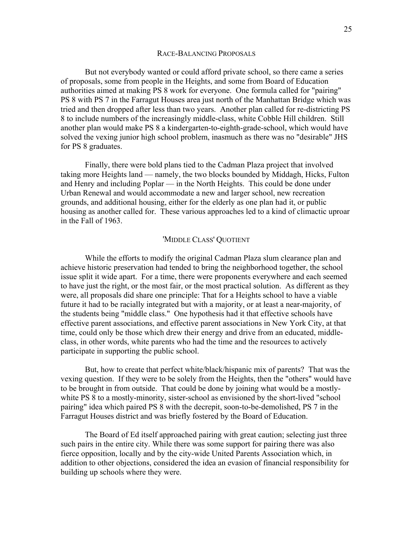#### RACE-BALANCING PROPOSALS

 But not everybody wanted or could afford private school, so there came a series of proposals, some from people in the Heights, and some from Board of Education authorities aimed at making PS 8 work for everyone. One formula called for "pairing" PS 8 with PS 7 in the Farragut Houses area just north of the Manhattan Bridge which was tried and then dropped after less than two years. Another plan called for re-districting PS 8 to include numbers of the increasingly middle-class, white Cobble Hill children. Still another plan would make PS 8 a kindergarten-to-eighth-grade-school, which would have solved the vexing junior high school problem, inasmuch as there was no "desirable" JHS for PS 8 graduates.

 Finally, there were bold plans tied to the Cadman Plaza project that involved taking more Heights land — namely, the two blocks bounded by Middagh, Hicks, Fulton and Henry and including Poplar — in the North Heights. This could be done under Urban Renewal and would accommodate a new and larger school, new recreation grounds, and additional housing, either for the elderly as one plan had it, or public housing as another called for. These various approaches led to a kind of climactic uproar in the Fall of 1963.

#### 'MIDDLE CLASS' QUOTIENT

 While the efforts to modify the original Cadman Plaza slum clearance plan and achieve historic preservation had tended to bring the neighborhood together, the school issue split it wide apart. For a time, there were proponents everywhere and each seemed to have just the right, or the most fair, or the most practical solution. As different as they were, all proposals did share one principle: That for a Heights school to have a viable future it had to be racially integrated but with a majority, or at least a near-majority, of the students being "middle class." One hypothesis had it that effective schools have effective parent associations, and effective parent associations in New York City, at that time, could only be those which drew their energy and drive from an educated, middleclass, in other words, white parents who had the time and the resources to actively participate in supporting the public school.

 But, how to create that perfect white/black/hispanic mix of parents? That was the vexing question. If they were to be solely from the Heights, then the "others" would have to be brought in from outside. That could be done by joining what would be a mostlywhite PS 8 to a mostly-minority, sister-school as envisioned by the short-lived "school pairing" idea which paired PS 8 with the decrepit, soon-to-be-demolished, PS 7 in the Farragut Houses district and was briefly fostered by the Board of Education.

 The Board of Ed itself approached pairing with great caution; selecting just three such pairs in the entire city. While there was some support for pairing there was also fierce opposition, locally and by the city-wide United Parents Association which, in addition to other objections, considered the idea an evasion of financial responsibility for building up schools where they were.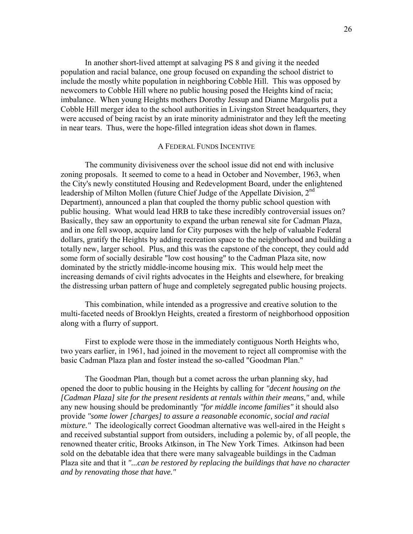In another short-lived attempt at salvaging PS 8 and giving it the needed population and racial balance, one group focused on expanding the school district to include the mostly white population in neighboring Cobble Hill. This was opposed by newcomers to Cobble Hill where no public housing posed the Heights kind of racia; imbalance. When young Heights mothers Dorothy Jessup and Dianne Margolis put a Cobble Hill merger idea to the school authorities in Livingston Street headquarters, they were accused of being racist by an irate minority administrator and they left the meeting in near tears. Thus, were the hope-filled integration ideas shot down in flames.

### A FEDERAL FUNDS INCENTIVE

 The community divisiveness over the school issue did not end with inclusive zoning proposals. It seemed to come to a head in October and November, 1963, when the City's newly constituted Housing and Redevelopment Board, under the enlightened leadership of Milton Mollen (future Chief Judge of the Appellate Division, 2<sup>nd</sup> Department), announced a plan that coupled the thorny public school question with public housing. What would lead HRB to take these incredibly controversial issues on? Basically, they saw an opportunity to expand the urban renewal site for Cadman Plaza, and in one fell swoop, acquire land for City purposes with the help of valuable Federal dollars, gratify the Heights by adding recreation space to the neighborhood and building a totally new, larger school. Plus, and this was the capstone of the concept, they could add some form of socially desirable "low cost housing" to the Cadman Plaza site, now dominated by the strictly middle-income housing mix. This would help meet the increasing demands of civil rights advocates in the Heights and elsewhere, for breaking the distressing urban pattern of huge and completely segregated public housing projects.

 This combination, while intended as a progressive and creative solution to the multi-faceted needs of Brooklyn Heights, created a firestorm of neighborhood opposition along with a flurry of support.

 First to explode were those in the immediately contiguous North Heights who, two years earlier, in 1961, had joined in the movement to reject all compromise with the basic Cadman Plaza plan and foster instead the so-called "Goodman Plan."

 The Goodman Plan, though but a comet across the urban planning sky, had opened the door to public housing in the Heights by calling for *"decent housing on the [Cadman Plaza] site for the present residents at rentals within their means,"* and, while any new housing should be predominantly *"for middle income families"* it should also provide *"some lower [charges] to assure a reasonable economic, social and racial mixture.*" The ideologically correct Goodman alternative was well-aired in the Height s and received substantial support from outsiders, including a polemic by, of all people, the renowned theater critic, Brooks Atkinson, in The New York Times. Atkinson had been sold on the debatable idea that there were many salvageable buildings in the Cadman Plaza site and that it *"...can be restored by replacing the buildings that have no character and by renovating those that have."*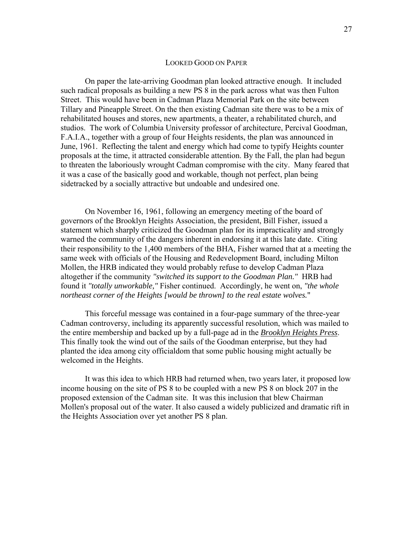#### LOOKED GOOD ON PAPER

 On paper the late-arriving Goodman plan looked attractive enough. It included such radical proposals as building a new PS 8 in the park across what was then Fulton Street. This would have been in Cadman Plaza Memorial Park on the site between Tillary and Pineapple Street. On the then existing Cadman site there was to be a mix of rehabilitated houses and stores, new apartments, a theater, a rehabilitated church, and studios. The work of Columbia University professor of architecture, Percival Goodman, F.A.I.A., together with a group of four Heights residents, the plan was announced in June, 1961. Reflecting the talent and energy which had come to typify Heights counter proposals at the time, it attracted considerable attention. By the Fall, the plan had begun to threaten the laboriously wrought Cadman compromise with the city. Many feared that it was a case of the basically good and workable, though not perfect, plan being sidetracked by a socially attractive but undoable and undesired one.

 On November 16, 1961, following an emergency meeting of the board of governors of the Brooklyn Heights Association, the president, Bill Fisher, issued a statement which sharply criticized the Goodman plan for its impracticality and strongly warned the community of the dangers inherent in endorsing it at this late date. Citing their responsibility to the 1,400 members of the BHA, Fisher warned that at a meeting the same week with officials of the Housing and Redevelopment Board, including Milton Mollen, the HRB indicated they would probably refuse to develop Cadman Plaza altogether if the community *"switched its support to the Goodman Plan."* HRB had found it *"totally unworkable,"* Fisher continued. Accordingly, he went on, *"the whole northeast corner of the Heights [would be thrown] to the real estate wolves.*"

 This forceful message was contained in a four-page summary of the three-year Cadman controversy, including its apparently successful resolution, which was mailed to the entire membership and backed up by a full-page ad in the *Brooklyn Heights Press*. This finally took the wind out of the sails of the Goodman enterprise, but they had planted the idea among city officialdom that some public housing might actually be welcomed in the Heights.

 It was this idea to which HRB had returned when, two years later, it proposed low income housing on the site of PS 8 to be coupled with a new PS 8 on block 207 in the proposed extension of the Cadman site. It was this inclusion that blew Chairman Mollen's proposal out of the water. It also caused a widely publicized and dramatic rift in the Heights Association over yet another PS 8 plan.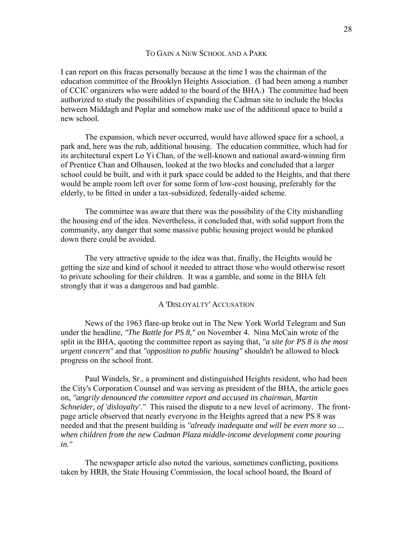### TO GAIN A NEW SCHOOL AND A PARK

I can report on this fracas personally because at the time I was the chairman of the education committee of the Brooklyn Heights Association. (I had been among a number of CCIC organizers who were added to the board of the BHA.) The committee had been authorized to study the possibilities of expanding the Cadman site to include the blocks between Middagh and Poplar and somehow make use of the additional space to build a new school.

 The expansion, which never occurred, would have allowed space for a school, a park and, here was the rub, additional housing. The education committee, which had for its architectural expert Lo Yi Chan, of the well-known and national award-winning firm of Prentice Chan and Olhausen, looked at the two blocks and concluded that a larger school could be built, and with it park space could be added to the Heights, and that there would be ample room left over for some form of low-cost housing, preferably for the elderly, to be fitted in under a tax-subsidized, federally-aided scheme.

 The committee was aware that there was the possibility of the City mishandling the housing end of the idea. Nevertheless, it concluded that, with solid support from the community, any danger that some massive public housing project would be plunked down there could be avoided.

 The very attractive upside to the idea was that, finally, the Heights would be getting the size and kind of school it needed to attract those who would otherwise resort to private schooling for their children. It was a gamble, and some in the BHA felt strongly that it was a dangerous and bad gamble.

## A 'DISLOYALTY' ACCUSATION

 News of the 1963 flare-up broke out in The New York World Telegram and Sun under the headline, *"The Battle for PS 8,"* on November 4. Nina McCain wrote of the split in the BHA, quoting the committee report as saying that, *"a site for PS 8 is the most urgent concern"* and that *"opposition to public housing"* shouldn't be allowed to block progress on the school front.

 Paul Windels, Sr., a prominent and distinguished Heights resident, who had been the City's Corporation Counsel and was serving as president of the BHA, the article goes on, *"angrily denounced the committee report and accused its chairman, Martin Schneider, of 'disloyalty'."* This raised the dispute to a new level of acrimony. The frontpage article observed that nearly everyone in the Heights agreed that a new PS 8 was needed and that the present building is *"already inadequate and will be even more so ... when children from the new Cadman Plaza middle-income development come pouring in."* 

 The newspaper article also noted the various, sometimes conflicting, positions taken by HRB, the State Housing Commission, the local school board, the Board of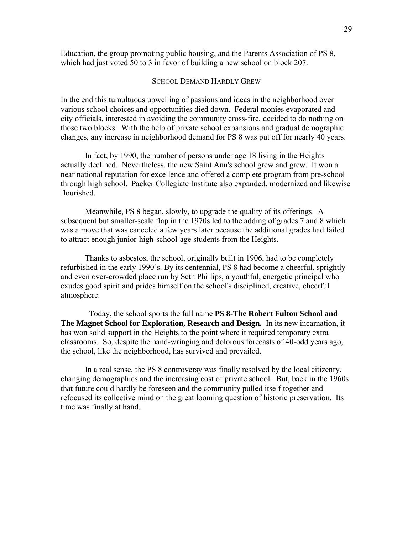Education, the group promoting public housing, and the Parents Association of PS 8, which had just voted 50 to 3 in favor of building a new school on block 207.

## SCHOOL DEMAND HARDLY GREW

In the end this tumultuous upwelling of passions and ideas in the neighborhood over various school choices and opportunities died down. Federal monies evaporated and city officials, interested in avoiding the community cross-fire, decided to do nothing on those two blocks. With the help of private school expansions and gradual demographic changes, any increase in neighborhood demand for PS 8 was put off for nearly 40 years.

 In fact, by 1990, the number of persons under age 18 living in the Heights actually declined. Nevertheless, the new Saint Ann's school grew and grew. It won a near national reputation for excellence and offered a complete program from pre-school through high school. Packer Collegiate Institute also expanded, modernized and likewise flourished.

 Meanwhile, PS 8 began, slowly, to upgrade the quality of its offerings. A subsequent but smaller-scale flap in the 1970s led to the adding of grades 7 and 8 which was a move that was canceled a few years later because the additional grades had failed to attract enough junior-high-school-age students from the Heights.

 Thanks to asbestos, the school, originally built in 1906, had to be completely refurbished in the early 1990's. By its centennial, PS 8 had become a cheerful, sprightly and even over-crowded place run by Seth Phillips, a youthful, energetic principal who exudes good spirit and prides himself on the school's disciplined, creative, cheerful atmosphere.

 Today, the school sports the full name **PS 8-The Robert Fulton School and The Magnet School for Exploration, Research and Design.** In its new incarnation, it has won solid support in the Heights to the point where it required temporary extra classrooms. So, despite the hand-wringing and dolorous forecasts of 40-odd years ago, the school, like the neighborhood, has survived and prevailed.

 In a real sense, the PS 8 controversy was finally resolved by the local citizenry, changing demographics and the increasing cost of private school. But, back in the 1960s that future could hardly be foreseen and the community pulled itself together and refocused its collective mind on the great looming question of historic preservation. Its time was finally at hand.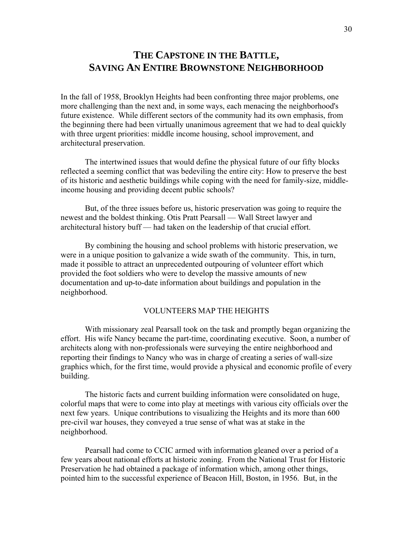# **THE CAPSTONE IN THE BATTLE, SAVING AN ENTIRE BROWNSTONE NEIGHBORHOOD**

In the fall of 1958, Brooklyn Heights had been confronting three major problems, one more challenging than the next and, in some ways, each menacing the neighborhood's future existence. While different sectors of the community had its own emphasis, from the beginning there had been virtually unanimous agreement that we had to deal quickly with three urgent priorities: middle income housing, school improvement, and architectural preservation.

 The intertwined issues that would define the physical future of our fifty blocks reflected a seeming conflict that was bedeviling the entire city: How to preserve the best of its historic and aesthetic buildings while coping with the need for family-size, middleincome housing and providing decent public schools?

 But, of the three issues before us, historic preservation was going to require the newest and the boldest thinking. Otis Pratt Pearsall — Wall Street lawyer and architectural history buff — had taken on the leadership of that crucial effort.

 By combining the housing and school problems with historic preservation, we were in a unique position to galvanize a wide swath of the community. This, in turn, made it possible to attract an unprecedented outpouring of volunteer effort which provided the foot soldiers who were to develop the massive amounts of new documentation and up-to-date information about buildings and population in the neighborhood.

## VOLUNTEERS MAP THE HEIGHTS

 With missionary zeal Pearsall took on the task and promptly began organizing the effort. His wife Nancy became the part-time, coordinating executive. Soon, a number of architects along with non-professionals were surveying the entire neighborhood and reporting their findings to Nancy who was in charge of creating a series of wall-size graphics which, for the first time, would provide a physical and economic profile of every building.

 The historic facts and current building information were consolidated on huge, colorful maps that were to come into play at meetings with various city officials over the next few years. Unique contributions to visualizing the Heights and its more than 600 pre-civil war houses, they conveyed a true sense of what was at stake in the neighborhood.

 Pearsall had come to CCIC armed with information gleaned over a period of a few years about national efforts at historic zoning. From the National Trust for Historic Preservation he had obtained a package of information which, among other things, pointed him to the successful experience of Beacon Hill, Boston, in 1956. But, in the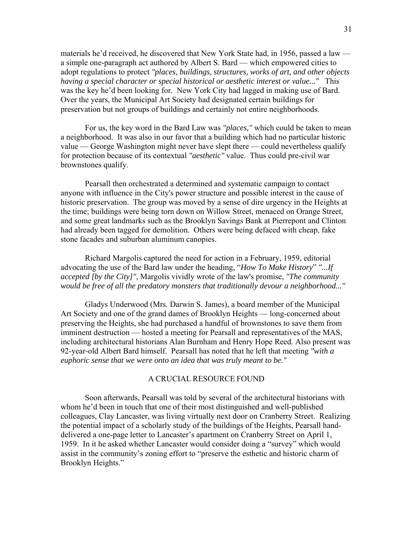materials he'd received, he discovered that New York State had, in 1956, passed a law a simple one-paragraph act authored by Albert S. Bard — which empowered cities to adopt regulations to protect *"places, buildings, structures, works of art, and other objects having a special character or special historical or aesthetic interest or value..."* This was the key he'd been looking for. New York City had lagged in making use of Bard. Over the years, the Municipal Art Society had designated certain buildings for preservation but not groups of buildings and certainly not entire neighborhoods.

 For us, the key word in the Bard Law was *"places,"* which could be taken to mean a neighborhood. It was also in our favor that a building which had no particular historic value — George Washington might never have slept there — could nevertheless qualify for protection because of its contextual *"aesthetic"* value. Thus could pre-civil war brownstones qualify.

 Pearsall then orchestrated a determined and systematic campaign to contact anyone with influence in the City's power structure and possible interest in the cause of historic preservation. The group was moved by a sense of dire urgency in the Heights at the time; buildings were being torn down on Willow Street, menaced on Orange Street, and some great landmarks such as the Brooklyn Savings Bank at Pierrepont and Clinton had already been tagged for demolition. Others were being defaced with cheap, fake stone facades and suburban aluminum canopies.

 Richard Margolis captured the need for action in a February, 1959, editorial advocating the use of the Bard law under the heading, "*How To Make History*" *"...If accepted [by the City]",* Margolis vividly wrote of the law's promise, *"The community would be free of all the predatory monsters that traditionally devour a neighborhood..."*

 Gladys Underwood (Mrs. Darwin S. James), a board member of the Municipal Art Society and one of the grand dames of Brooklyn Heights — long-concerned about preserving the Heights, she had purchased a handful of brownstones to save them from imminent destruction — hosted a meeting for Pearsall and representatives of the MAS, including architectural historians Alan Burnham and Henry Hope Reed. Also present was 92-year-old Albert Bard himself. Pearsall has noted that he left that meeting *"with a euphoric sense that we were onto an idea that was truly meant to be."* 

### A CRUCIAL RESOURCE FOUND

 Soon afterwards, Pearsall was told by several of the architectural historians with whom he'd been in touch that one of their most distinguished and well-published colleagues, Clay Lancaster, was living virtually next door on Cranberry Street. Realizing the potential impact of a scholarly study of the buildings of the Heights, Pearsall handdelivered a one-page letter to Lancaster's apartment on Cranberry Street on April 1, 1959. In it he asked whether Lancaster would consider doing a "survey" which would assist in the community's zoning effort to "preserve the esthetic and historic charm of Brooklyn Heights."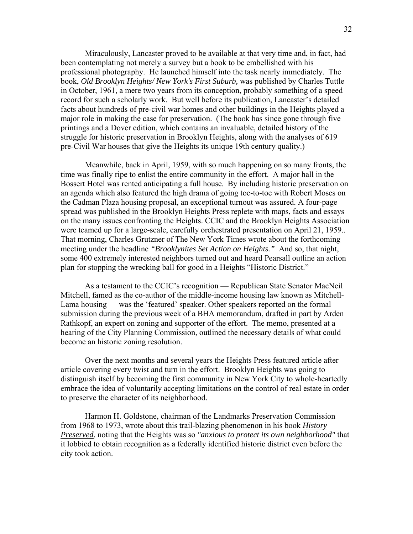Miraculously, Lancaster proved to be available at that very time and, in fact, had been contemplating not merely a survey but a book to be embellished with his professional photography. He launched himself into the task nearly immediately. The book, *Old Brooklyn Heights/ New York's First Suburb,* was published by Charles Tuttle in October, 1961, a mere two years from its conception, probably something of a speed record for such a scholarly work. But well before its publication, Lancaster's detailed facts about hundreds of pre-civil war homes and other buildings in the Heights played a major role in making the case for preservation. (The book has since gone through five printings and a Dover edition, which contains an invaluable, detailed history of the struggle for historic preservation in Brooklyn Heights, along with the analyses of 619 pre-Civil War houses that give the Heights its unique 19th century quality.)

 Meanwhile, back in April, 1959, with so much happening on so many fronts, the time was finally ripe to enlist the entire community in the effort. A major hall in the Bossert Hotel was rented anticipating a full house. By including historic preservation on an agenda which also featured the high drama of going toe-to-toe with Robert Moses on the Cadman Plaza housing proposal, an exceptional turnout was assured. A four-page spread was published in the Brooklyn Heights Press replete with maps, facts and essays on the many issues confronting the Heights. CCIC and the Brooklyn Heights Association were teamed up for a large-scale, carefully orchestrated presentation on April 21, 1959.. That morning, Charles Grutzner of The New York Times wrote about the forthcoming meeting under the headline *"Brooklynites Set Action on Heights."* And so, that night, some 400 extremely interested neighbors turned out and heard Pearsall outline an action plan for stopping the wrecking ball for good in a Heights "Historic District."

 As a testament to the CCIC's recognition — Republican State Senator MacNeil Mitchell, famed as the co-author of the middle-income housing law known as Mitchell-Lama housing — was the 'featured' speaker. Other speakers reported on the formal submission during the previous week of a BHA memorandum, drafted in part by Arden Rathkopf, an expert on zoning and supporter of the effort. The memo, presented at a hearing of the City Planning Commission, outlined the necessary details of what could become an historic zoning resolution.

 Over the next months and several years the Heights Press featured article after article covering every twist and turn in the effort. Brooklyn Heights was going to distinguish itself by becoming the first community in New York City to whole-heartedly embrace the idea of voluntarily accepting limitations on the control of real estate in order to preserve the character of its neighborhood.

 Harmon H. Goldstone, chairman of the Landmarks Preservation Commission from 1968 to 1973, wrote about this trail-blazing phenomenon in his book *History Preserved*, noting that the Heights was so *"anxious to protect its own neighborhood"* that it lobbied to obtain recognition as a federally identified historic district even before the city took action.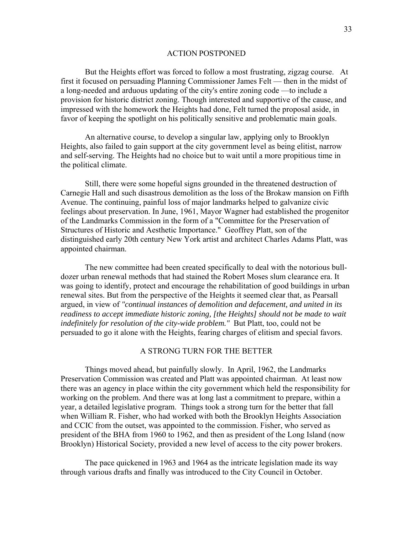#### ACTION POSTPONED

 But the Heights effort was forced to follow a most frustrating, zigzag course. At first it focused on persuading Planning Commissioner James Felt — then in the midst of a long-needed and arduous updating of the city's entire zoning code —to include a provision for historic district zoning. Though interested and supportive of the cause, and impressed with the homework the Heights had done, Felt turned the proposal aside, in favor of keeping the spotlight on his politically sensitive and problematic main goals.

 An alternative course, to develop a singular law, applying only to Brooklyn Heights, also failed to gain support at the city government level as being elitist, narrow and self-serving. The Heights had no choice but to wait until a more propitious time in the political climate.

 Still, there were some hopeful signs grounded in the threatened destruction of Carnegie Hall and such disastrous demolition as the loss of the Brokaw mansion on Fifth Avenue. The continuing, painful loss of major landmarks helped to galvanize civic feelings about preservation. In June, 1961, Mayor Wagner had established the progenitor of the Landmarks Commission in the form of a "Committee for the Preservation of Structures of Historic and Aesthetic Importance." Geoffrey Platt, son of the distinguished early 20th century New York artist and architect Charles Adams Platt, was appointed chairman.

 The new committee had been created specifically to deal with the notorious bulldozer urban renewal methods that had stained the Robert Moses slum clearance era. It was going to identify, protect and encourage the rehabilitation of good buildings in urban renewal sites. But from the perspective of the Heights it seemed clear that, as Pearsall argued, in view of *"continual instances of demolition and defacement, and united in its readiness to accept immediate historic zoning, [the Heights] should not be made to wait indefinitely for resolution of the city-wide problem."* But Platt, too, could not be persuaded to go it alone with the Heights, fearing charges of elitism and special favors.

#### A STRONG TURN FOR THE BETTER

 Things moved ahead, but painfully slowly. In April, 1962, the Landmarks Preservation Commission was created and Platt was appointed chairman. At least now there was an agency in place within the city government which held the responsibility for working on the problem. And there was at long last a commitment to prepare, within a year, a detailed legislative program. Things took a strong turn for the better that fall when William R. Fisher, who had worked with both the Brooklyn Heights Association and CCIC from the outset, was appointed to the commission. Fisher, who served as president of the BHA from 1960 to 1962, and then as president of the Long Island (now Brooklyn) Historical Society, provided a new level of access to the city power brokers.

 The pace quickened in 1963 and 1964 as the intricate legislation made its way through various drafts and finally was introduced to the City Council in October.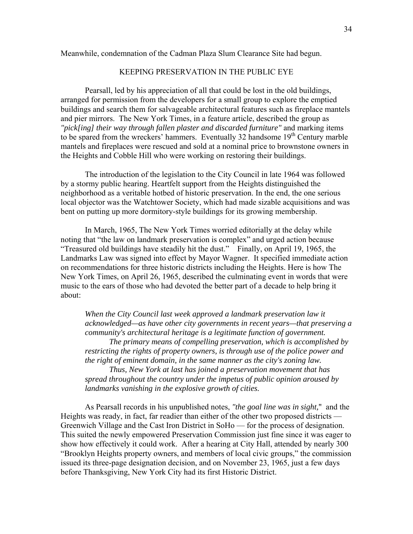### Meanwhile, condemnation of the Cadman Plaza Slum Clearance Site had begun.

## KEEPING PRESERVATION IN THE PUBLIC EYE

 Pearsall, led by his appreciation of all that could be lost in the old buildings, arranged for permission from the developers for a small group to explore the emptied buildings and search them for salvageable architectural features such as fireplace mantels and pier mirrors. The New York Times, in a feature article, described the group as *"pick[ing] their way through fallen plaster and discarded furniture"* and marking items to be spared from the wreckers' hammers. Eventually 32 handsome 19<sup>th</sup> Century marble mantels and fireplaces were rescued and sold at a nominal price to brownstone owners in the Heights and Cobble Hill who were working on restoring their buildings.

 The introduction of the legislation to the City Council in late 1964 was followed by a stormy public hearing. Heartfelt support from the Heights distinguished the neighborhood as a veritable hotbed of historic preservation. In the end, the one serious local objector was the Watchtower Society, which had made sizable acquisitions and was bent on putting up more dormitory-style buildings for its growing membership.

 In March, 1965, The New York Times worried editorially at the delay while noting that "the law on landmark preservation is complex" and urged action because "Treasured old buildings have steadily hit the dust." Finally, on April 19, 1965, the Landmarks Law was signed into effect by Mayor Wagner. It specified immediate action on recommendations for three historic districts including the Heights. Here is how The New York Times, on April 26, 1965, described the culminating event in words that were music to the ears of those who had devoted the better part of a decade to help bring it about:

*When the City Council last week approved a landmark preservation law it acknowledged—as have other city governments in recent years—that preserving a community's architectural heritage is a legitimate function of government.* 

 *The primary means of compelling preservation, which is accomplished by restricting the rights of property owners, is through use of the police power and the right of eminent domain, in the same manner as the city's zoning law.* 

 *Thus, New York at last has joined a preservation movement that has spread throughout the country under the impetus of public opinion aroused by landmarks vanishing in the explosive growth of cities.* 

 As Pearsall records in his unpublished notes, *"the goal line was in sight,*" and the Heights was ready, in fact, far readier than either of the other two proposed districts — Greenwich Village and the Cast Iron District in SoHo — for the process of designation. This suited the newly empowered Preservation Commission just fine since it was eager to show how effectively it could work. After a hearing at City Hall, attended by nearly 300 "Brooklyn Heights property owners, and members of local civic groups," the commission issued its three-page designation decision, and on November 23, 1965, just a few days before Thanksgiving, New York City had its first Historic District.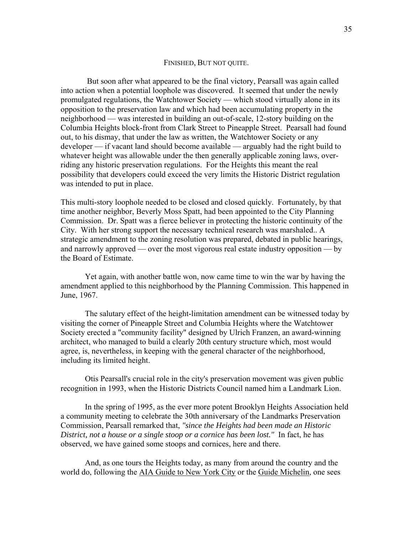#### FINISHED, BUT NOT QUITE.

 But soon after what appeared to be the final victory, Pearsall was again called into action when a potential loophole was discovered. It seemed that under the newly promulgated regulations, the Watchtower Society — which stood virtually alone in its opposition to the preservation law and which had been accumulating property in the neighborhood — was interested in building an out-of-scale, 12-story building on the Columbia Heights block-front from Clark Street to Pineapple Street. Pearsall had found out, to his dismay, that under the law as written, the Watchtower Society or any developer — if vacant land should become available — arguably had the right build to whatever height was allowable under the then generally applicable zoning laws, overriding any historic preservation regulations. For the Heights this meant the real possibility that developers could exceed the very limits the Historic District regulation was intended to put in place.

This multi-story loophole needed to be closed and closed quickly. Fortunately, by that time another neighbor, Beverly Moss Spatt, had been appointed to the City Planning Commission. Dr. Spatt was a fierce believer in protecting the historic continuity of the City. With her strong support the necessary technical research was marshaled.. A strategic amendment to the zoning resolution was prepared, debated in public hearings, and narrowly approved — over the most vigorous real estate industry opposition — by the Board of Estimate.

 Yet again, with another battle won, now came time to win the war by having the amendment applied to this neighborhood by the Planning Commission. This happened in June, 1967.

 The salutary effect of the height-limitation amendment can be witnessed today by visiting the corner of Pineapple Street and Columbia Heights where the Watchtower Society erected a "community facility" designed by Ulrich Franzen, an award-winning architect, who managed to build a clearly 20th century structure which, most would agree, is, nevertheless, in keeping with the general character of the neighborhood, including its limited height.

 Otis Pearsall's crucial role in the city's preservation movement was given public recognition in 1993, when the Historic Districts Council named him a Landmark Lion.

 In the spring of 1995, as the ever more potent Brooklyn Heights Association held a community meeting to celebrate the 30th anniversary of the Landmarks Preservation Commission, Pearsall remarked that, *"since the Heights had been made an Historic District, not a house or a single stoop or a cornice has been lost."* In fact, he has observed, we have gained some stoops and cornices, here and there.

 And, as one tours the Heights today, as many from around the country and the world do, following the AIA Guide to New York City or the Guide Michelin, one sees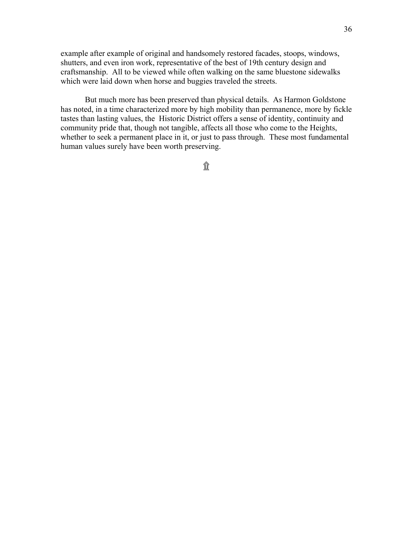example after example of original and handsomely restored facades, stoops, windows, shutters, and even iron work, representative of the best of 19th century design and craftsmanship. All to be viewed while often walking on the same bluestone sidewalks which were laid down when horse and buggies traveled the streets.

 But much more has been preserved than physical details. As Harmon Goldstone has noted, in a time characterized more by high mobility than permanence, more by fickle tastes than lasting values, the Historic District offers a sense of identity, continuity and community pride that, though not tangible, affects all those who come to the Heights, whether to seek a permanent place in it, or just to pass through. These most fundamental human values surely have been worth preserving.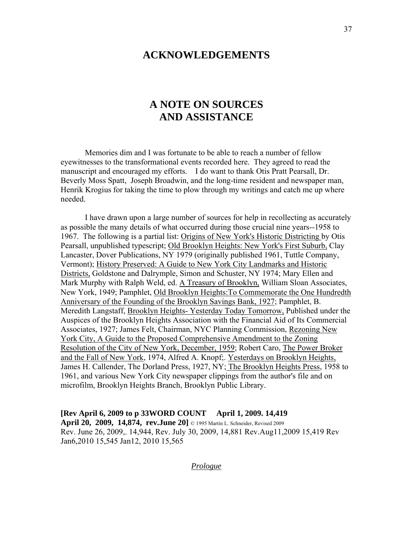# **ACKNOWLEDGEMENTS**

# **A NOTE ON SOURCES AND ASSISTANCE**

 Memories dim and I was fortunate to be able to reach a number of fellow eyewitnesses to the transformational events recorded here. They agreed to read the manuscript and encouraged my efforts. I do want to thank Otis Pratt Pearsall, Dr. Beverly Moss Spatt, Joseph Broadwin, and the long-time resident and newspaper man, Henrik Krogius for taking the time to plow through my writings and catch me up where needed.

 I have drawn upon a large number of sources for help in recollecting as accurately as possible the many details of what occurred during those crucial nine years--1958 to 1967. The following is a partial list: Origins of New York's Historic Districting by Otis Pearsall, unpublished typescript; Old Brooklyn Heights: New York's First Suburb, Clay Lancaster, Dover Publications, NY 1979 (originally published 1961, Tuttle Company, Vermont); History Preserved: A Guide to New York City Landmarks and Historic Districts, Goldstone and Dalrymple, Simon and Schuster, NY 1974; Mary Ellen and Mark Murphy with Ralph Weld, ed. A Treasury of Brooklyn, William Sloan Associates, New York, 1949; Pamphlet, Old Brooklyn Heights:To Commemorate the One Hundredth Anniversary of the Founding of the Brooklyn Savings Bank, 1927; Pamphlet, B. Meredith Langstaff, Brooklyn Heights- Yesterday Today Tomorrow, Published under the Auspices of the Brooklyn Heights Association with the Financial Aid of Its Commercial Associates, 1927; James Felt, Chairman, NYC Planning Commission, Rezoning New York City, A Guide to the Proposed Comprehensive Amendment to the Zoning Resolution of the City of New York, December, 1959; Robert Caro, The Power Broker and the Fall of New York, 1974, Alfred A. Knopf;. Yesterdays on Brooklyn Heights, James H. Callender, The Dorland Press, 1927, NY; The Brooklyn Heights Press, 1958 to 1961, and various New York City newspaper clippings from the author's file and on microfilm, Brooklyn Heights Branch, Brooklyn Public Library.

**[Rev April 6, 2009 to p 33WORD COUNT April 1, 2009. 14,419 April 20, 2009, 14,874, rev.June 20]** © 1995 Martin L. Schneider, Revised 2009 Rev. June 26, 2009,. 14,944, Rev. July 30, 2009, 14,881 Rev.Aug11,2009 15,419 Rev Jan6,2010 15,545 Jan12, 2010 15,565

*Prologue*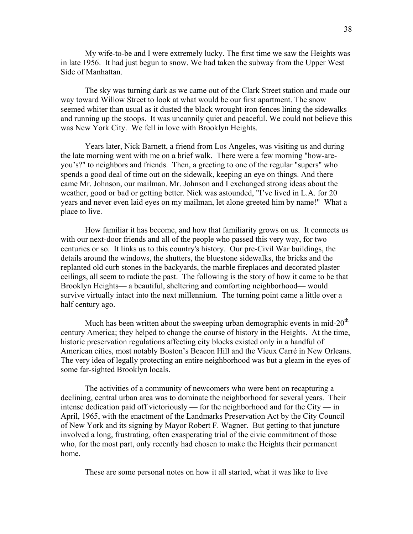My wife-to-be and I were extremely lucky. The first time we saw the Heights was in late 1956. It had just begun to snow. We had taken the subway from the Upper West Side of Manhattan.

 The sky was turning dark as we came out of the Clark Street station and made our way toward Willow Street to look at what would be our first apartment. The snow seemed whiter than usual as it dusted the black wrought-iron fences lining the sidewalks and running up the stoops. It was uncannily quiet and peaceful. We could not believe this was New York City. We fell in love with Brooklyn Heights.

 Years later, Nick Barnett, a friend from Los Angeles, was visiting us and during the late morning went with me on a brief walk. There were a few morning "how-areyou's?" to neighbors and friends. Then, a greeting to one of the regular "supers" who spends a good deal of time out on the sidewalk, keeping an eye on things. And there came Mr. Johnson, our mailman. Mr. Johnson and I exchanged strong ideas about the weather, good or bad or getting better. Nick was astounded, "I've lived in L.A. for 20 years and never even laid eyes on my mailman, let alone greeted him by name!" What a place to live.

 How familiar it has become, and how that familiarity grows on us. It connects us with our next-door friends and all of the people who passed this very way, for two centuries or so. It links us to this country's history. Our pre-Civil War buildings, the details around the windows, the shutters, the bluestone sidewalks, the bricks and the replanted old curb stones in the backyards, the marble fireplaces and decorated plaster ceilings, all seem to radiate the past. The following is the story of how it came to be that Brooklyn Heights— a beautiful, sheltering and comforting neighborhood— would survive virtually intact into the next millennium. The turning point came a little over a half century ago.

Much has been written about the sweeping urban demographic events in mid- $20<sup>th</sup>$ century America; they helped to change the course of history in the Heights. At the time, historic preservation regulations affecting city blocks existed only in a handful of American cities, most notably Boston's Beacon Hill and the Vieux Carré in New Orleans. The very idea of legally protecting an entire neighborhood was but a gleam in the eyes of some far-sighted Brooklyn locals.

 The activities of a community of newcomers who were bent on recapturing a declining, central urban area was to dominate the neighborhood for several years. Their intense dedication paid off victoriously — for the neighborhood and for the City — in April, 1965, with the enactment of the Landmarks Preservation Act by the City Council of New York and its signing by Mayor Robert F. Wagner. But getting to that juncture involved a long, frustrating, often exasperating trial of the civic commitment of those who, for the most part, only recently had chosen to make the Heights their permanent home.

These are some personal notes on how it all started, what it was like to live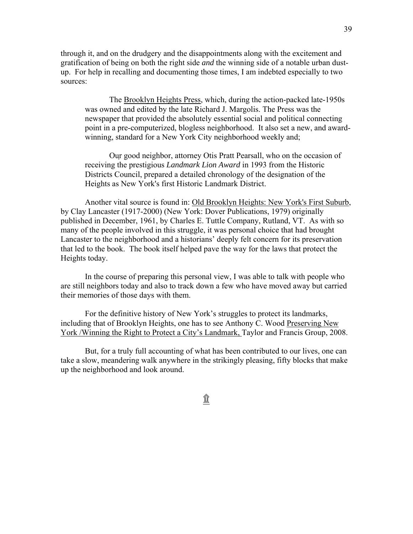through it, and on the drudgery and the disappointments along with the excitement and gratification of being on both the right side *and* the winning side of a notable urban dustup. For help in recalling and documenting those times, I am indebted especially to two sources:

 The Brooklyn Heights Press, which, during the action-packed late-1950s was owned and edited by the late Richard J. Margolis. The Press was the newspaper that provided the absolutely essential social and political connecting point in a pre-computerized, blogless neighborhood. It also set a new, and awardwinning, standard for a New York City neighborhood weekly and;

 Our good neighbor, attorney Otis Pratt Pearsall, who on the occasion of receiving the prestigious *Landmark Lion Award* in 1993 from the Historic Districts Council, prepared a detailed chronology of the designation of the Heights as New York's first Historic Landmark District.

 Another vital source is found in: Old Brooklyn Heights: New York's First Suburb, by Clay Lancaster (1917-2000) (New York: Dover Publications, 1979) originally published in December, 1961, by Charles E. Tuttle Company, Rutland, VT. As with so many of the people involved in this struggle, it was personal choice that had brought Lancaster to the neighborhood and a historians' deeply felt concern for its preservation that led to the book. The book itself helped pave the way for the laws that protect the Heights today.

 In the course of preparing this personal view, I was able to talk with people who are still neighbors today and also to track down a few who have moved away but carried their memories of those days with them.

 For the definitive history of New York's struggles to protect its landmarks, including that of Brooklyn Heights, one has to see Anthony C. Wood Preserving New York /Winning the Right to Protect a City's Landmark, Taylor and Francis Group, 2008.

 But, for a truly full accounting of what has been contributed to our lives, one can take a slow, meandering walk anywhere in the strikingly pleasing, fifty blocks that make up the neighborhood and look around.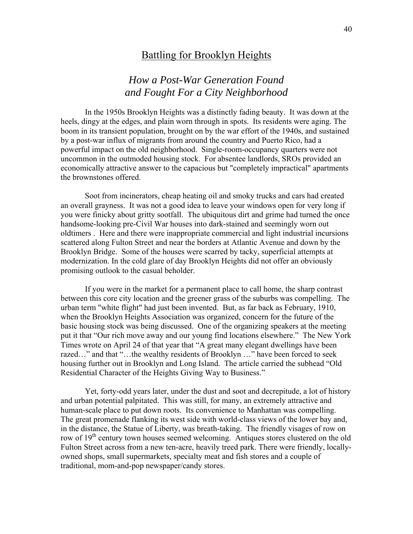# Battling for Brooklyn Heights

# *How a Post-War Generation Found and Fought For a City Neighborhood*

 In the 1950s Brooklyn Heights was a distinctly fading beauty. It was down at the heels, dingy at the edges, and plain worn through in spots. Its residents were aging. The boom in its transient population, brought on by the war effort of the 1940s, and sustained by a post-war influx of migrants from around the country and Puerto Rico, had a powerful impact on the old neighborhood. Single-room-occupancy quarters were not uncommon in the outmoded housing stock. For absentee landlords, SROs provided an economically attractive answer to the capacious but "completely impractical" apartments the brownstones offered.

 Soot from incinerators, cheap heating oil and smoky trucks and cars had created an overall grayness. It was not a good idea to leave your windows open for very long if you were finicky about gritty sootfall. The ubiquitous dirt and grime had turned the once handsome-looking pre-Civil War houses into dark-stained and seemingly worn out oldtimers . Here and there were inappropriate commercial and light industrial incursions scattered along Fulton Street and near the borders at Atlantic Avenue and down by the Brooklyn Bridge. Some of the houses were scarred by tacky, superficial attempts at modernization. In the cold glare of day Brooklyn Heights did not offer an obviously promising outlook to the casual beholder.

 If you were in the market for a permanent place to call home, the sharp contrast between this core city location and the greener grass of the suburbs was compelling. The urban term "white flight" had just been invented. But, as far back as February, 1910, when the Brooklyn Heights Association was organized, concern for the future of the basic housing stock was being discussed. One of the organizing speakers at the meeting put it that "Our rich move away and our young find locations elsewhere." The New York Times wrote on April 24 of that year that "A great many elegant dwellings have been razed…" and that "…the wealthy residents of Brooklyn …" have been forced to seek housing further out in Brooklyn and Long Island. The article carried the subhead "Old Residential Character of the Heights Giving Way to Business."

 Yet, forty-odd years later, under the dust and soot and decrepitude, a lot of history and urban potential palpitated. This was still, for many, an extremely attractive and human-scale place to put down roots. Its convenience to Manhattan was compelling. The great promenade flanking its west side with world-class views of the lower bay and, in the distance, the Statue of Liberty, was breath-taking. The friendly visages of row on row of 19<sup>th</sup> century town houses seemed welcoming. Antiques stores clustered on the old Fulton Street across from a new ten-acre, heavily treed park. There were friendly, locallyowned shops, small supermarkets, specialty meat and fish stores and a couple of traditional, mom-and-pop newspaper/candy stores.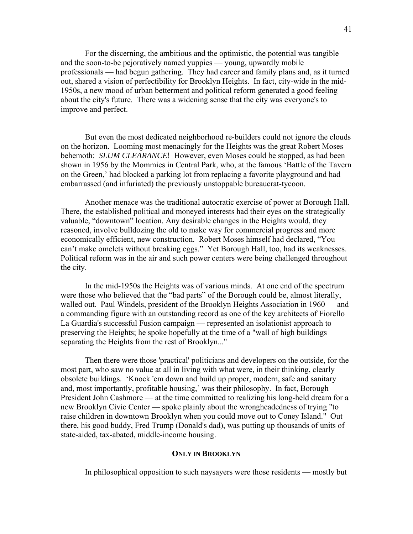For the discerning, the ambitious and the optimistic, the potential was tangible and the soon-to-be pejoratively named yuppies — young, upwardly mobile professionals — had begun gathering. They had career and family plans and, as it turned out, shared a vision of perfectibility for Brooklyn Heights. In fact, city-wide in the mid-1950s, a new mood of urban betterment and political reform generated a good feeling about the city's future. There was a widening sense that the city was everyone's to improve and perfect.

 But even the most dedicated neighborhood re-builders could not ignore the clouds on the horizon. Looming most menacingly for the Heights was the great Robert Moses behemoth: *SLUM CLEARANCE*! However, even Moses could be stopped, as had been shown in 1956 by the Mommies in Central Park, who, at the famous 'Battle of the Tavern on the Green,' had blocked a parking lot from replacing a favorite playground and had embarrassed (and infuriated) the previously unstoppable bureaucrat-tycoon.

 Another menace was the traditional autocratic exercise of power at Borough Hall. There, the established political and moneyed interests had their eyes on the strategically valuable, "downtown" location. Any desirable changes in the Heights would, they reasoned, involve bulldozing the old to make way for commercial progress and more economically efficient, new construction. Robert Moses himself had declared, "You can't make omelets without breaking eggs." Yet Borough Hall, too, had its weaknesses. Political reform was in the air and such power centers were being challenged throughout the city.

 In the mid-1950s the Heights was of various minds. At one end of the spectrum were those who believed that the "bad parts" of the Borough could be, almost literally, walled out. Paul Windels, president of the Brooklyn Heights Association in 1960 — and a commanding figure with an outstanding record as one of the key architects of Fiorello La Guardia's successful Fusion campaign — represented an isolationist approach to preserving the Heights; he spoke hopefully at the time of a "wall of high buildings separating the Heights from the rest of Brooklyn..."

 Then there were those 'practical' politicians and developers on the outside, for the most part, who saw no value at all in living with what were, in their thinking, clearly obsolete buildings. 'Knock 'em down and build up proper, modern, safe and sanitary and, most importantly, profitable housing,' was their philosophy. In fact, Borough President John Cashmore — at the time committed to realizing his long-held dream for a new Brooklyn Civic Center — spoke plainly about the wrongheadedness of trying "to raise children in downtown Brooklyn when you could move out to Coney Island." Out there, his good buddy, Fred Trump (Donald's dad), was putting up thousands of units of state-aided, tax-abated, middle-income housing.

## **ONLY IN BROOKLYN**

In philosophical opposition to such naysayers were those residents — mostly but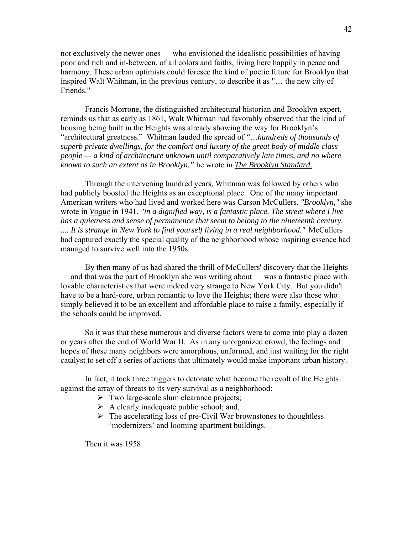not exclusively the newer ones — who envisioned the idealistic possibilities of having poor and rich and in-between, of all colors and faiths, living here happily in peace and harmony. These urban optimists could foresee the kind of poetic future for Brooklyn that inspired Walt Whitman, in the previous century, to describe it as "… the new city of Friends."

 Francis Morrone, the distinguished architectural historian and Brooklyn expert, reminds us that as early as 1861, Walt Whitman had favorably observed that the kind of housing being built in the Heights was already showing the way for Brooklyn's "architectural greatness." Whitman lauded the spread of *"…hundreds of thousands of superb private dwellings, for the comfort and luxury of the great body of middle class people — a kind of architecture unknown until comparatively late times, and no where known to such an extent as in Brooklyn,"* he wrote in *The Brooklyn Standard*.

 Through the intervening hundred years, Whitman was followed by others who had publicly boosted the Heights as an exceptional place. One of the many important American writers who had lived and worked here was Carson McCullers. *"Brooklyn,"* she wrote in *Vogue* in 1941, *"in a dignified way, is a fantastic place. The street where I live has a quietness and sense of permanence that seem to belong to the nineteenth century. .... It is strange in New York to find yourself living in a real neighborhood."* McCullers had captured exactly the special quality of the neighborhood whose inspiring essence had managed to survive well into the 1950s.

 By then many of us had shared the thrill of McCullers' discovery that the Heights — and that was the part of Brooklyn she was writing about — was a fantastic place with lovable characteristics that were indeed very strange to New York City. But you didn't have to be a hard-core, urban romantic to love the Heights; there were also those who simply believed it to be an excellent and affordable place to raise a family, especially if the schools could be improved.

 So it was that these numerous and diverse factors were to come into play a dozen or years after the end of World War II. As in any unorganized crowd, the feelings and hopes of these many neighbors were amorphous, unformed, and just waiting for the right catalyst to set off a series of actions that ultimately would make important urban history.

 In fact, it took three triggers to detonate what became the revolt of the Heights against the array of threats to its very survival as a neighborhood:

- $\triangleright$  Two large-scale slum clearance projects;
- $\triangleright$  A clearly inadequate public school; and,
- $\triangleright$  The accelerating loss of pre-Civil War brownstones to thoughtless 'modernizers' and looming apartment buildings.

Then it was 1958.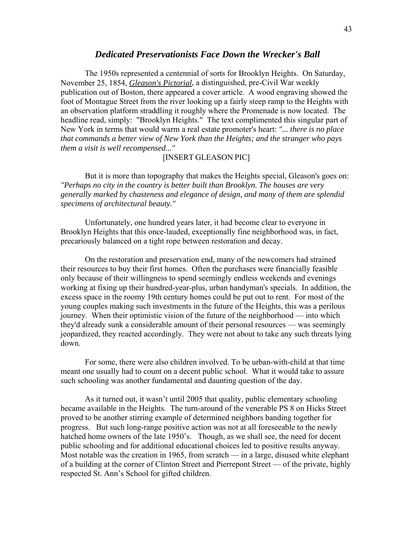## *Dedicated Preservationists Face Down the Wrecker's Ball*

 The 1950s represented a centennial of sorts for Brooklyn Heights. On Saturday, November 25, 1854, *Gleason's Pictorial*, a distinguished, pre-Civil War weekly publication out of Boston, there appeared a cover article. A wood engraving showed the foot of Montague Street from the river looking up a fairly steep ramp to the Heights with an observation platform straddling it roughly where the Promenade is now located. The headline read, simply: "Brooklyn Heights." The text complimented this singular part of New York in terms that would warm a real estate promoter's heart: *"... there is no place that commands a better view of New York than the Heights; and the stranger who pays them a visit is well recompensed..."* 

## [INSERT GLEASON PIC]

 But it is more than topography that makes the Heights special, Gleason's goes on: *"Perhaps no city in the country is better built than Brooklyn. The houses are very generally marked by chasteness and elegance of design, and many of them are splendid specimens of architectural beauty."* 

 Unfortunately, one hundred years later, it had become clear to everyone in Brooklyn Heights that this once-lauded, exceptionally fine neighborhood was, in fact, precariously balanced on a tight rope between restoration and decay.

 On the restoration and preservation end, many of the newcomers had strained their resources to buy their first homes. Often the purchases were financially feasible only because of their willingness to spend seemingly endless weekends and evenings working at fixing up their hundred-year-plus, urban handyman's specials. In addition, the excess space in the roomy 19th century homes could be put out to rent. For most of the young couples making such investments in the future of the Heights, this was a perilous journey. When their optimistic vision of the future of the neighborhood — into which they'd already sunk a considerable amount of their personal resources — was seemingly jeopardized, they reacted accordingly. They were not about to take any such threats lying down.

 For some, there were also children involved. To be urban-with-child at that time meant one usually had to count on a decent public school. What it would take to assure such schooling was another fundamental and daunting question of the day.

 As it turned out, it wasn't until 2005 that quality, public elementary schooling became available in the Heights. The turn-around of the venerable PS 8 on Hicks Street proved to be another stirring example of determined neighbors banding together for progress. But such long-range positive action was not at all foreseeable to the newly hatched home owners of the late 1950's. Though, as we shall see, the need for decent public schooling and for additional educational choices led to positive results anyway. Most notable was the creation in 1965, from scratch — in a large, disused white elephant of a building at the corner of Clinton Street and Pierrepont Street — of the private, highly respected St. Ann's School for gifted children.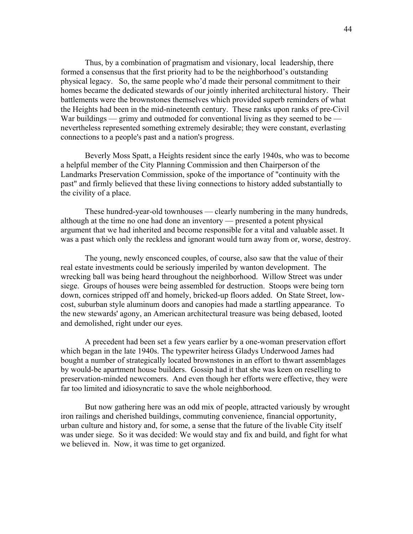Thus, by a combination of pragmatism and visionary, local leadership, there formed a consensus that the first priority had to be the neighborhood's outstanding physical legacy. So, the same people who'd made their personal commitment to their homes became the dedicated stewards of our jointly inherited architectural history. Their battlements were the brownstones themselves which provided superb reminders of what the Heights had been in the mid-nineteenth century. These ranks upon ranks of pre-Civil War buildings — grimy and outmoded for conventional living as they seemed to be nevertheless represented something extremely desirable; they were constant, everlasting connections to a people's past and a nation's progress.

 Beverly Moss Spatt, a Heights resident since the early 1940s, who was to become a helpful member of the City Planning Commission and then Chairperson of the Landmarks Preservation Commission, spoke of the importance of "continuity with the past" and firmly believed that these living connections to history added substantially to the civility of a place.

 These hundred-year-old townhouses — clearly numbering in the many hundreds, although at the time no one had done an inventory — presented a potent physical argument that we had inherited and become responsible for a vital and valuable asset. It was a past which only the reckless and ignorant would turn away from or, worse, destroy.

 The young, newly ensconced couples, of course, also saw that the value of their real estate investments could be seriously imperiled by wanton development. The wrecking ball was being heard throughout the neighborhood. Willow Street was under siege. Groups of houses were being assembled for destruction. Stoops were being torn down, cornices stripped off and homely, bricked-up floors added. On State Street, lowcost, suburban style aluminum doors and canopies had made a startling appearance. To the new stewards' agony, an American architectural treasure was being debased, looted and demolished, right under our eyes.

 A precedent had been set a few years earlier by a one-woman preservation effort which began in the late 1940s. The typewriter heiress Gladys Underwood James had bought a number of strategically located brownstones in an effort to thwart assemblages by would-be apartment house builders. Gossip had it that she was keen on reselling to preservation-minded newcomers. And even though her efforts were effective, they were far too limited and idiosyncratic to save the whole neighborhood.

 But now gathering here was an odd mix of people, attracted variously by wrought iron railings and cherished buildings, commuting convenience, financial opportunity, urban culture and history and, for some, a sense that the future of the livable City itself was under siege. So it was decided: We would stay and fix and build, and fight for what we believed in. Now, it was time to get organized.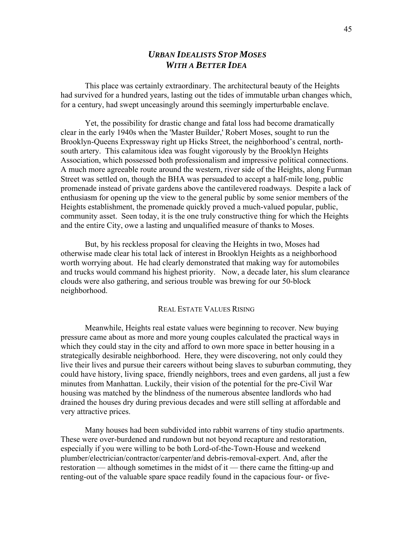# *URBAN IDEALISTS STOP MOSES WITH A BETTER IDEA*

 This place was certainly extraordinary. The architectural beauty of the Heights had survived for a hundred years, lasting out the tides of immutable urban changes which, for a century, had swept unceasingly around this seemingly imperturbable enclave.

 Yet, the possibility for drastic change and fatal loss had become dramatically clear in the early 1940s when the 'Master Builder,' Robert Moses, sought to run the Brooklyn-Queens Expressway right up Hicks Street, the neighborhood's central, northsouth artery. This calamitous idea was fought vigorously by the Brooklyn Heights Association, which possessed both professionalism and impressive political connections. A much more agreeable route around the western, river side of the Heights, along Furman Street was settled on, though the BHA was persuaded to accept a half-mile long, public promenade instead of private gardens above the cantilevered roadways. Despite a lack of enthusiasm for opening up the view to the general public by some senior members of the Heights establishment, the promenade quickly proved a much-valued popular, public, community asset. Seen today, it is the one truly constructive thing for which the Heights and the entire City, owe a lasting and unqualified measure of thanks to Moses.

 But, by his reckless proposal for cleaving the Heights in two, Moses had otherwise made clear his total lack of interest in Brooklyn Heights as a neighborhood worth worrying about. He had clearly demonstrated that making way for automobiles and trucks would command his highest priority. Now, a decade later, his slum clearance clouds were also gathering, and serious trouble was brewing for our 50-block neighborhood.

### REAL ESTATE VALUES RISING

 Meanwhile, Heights real estate values were beginning to recover. New buying pressure came about as more and more young couples calculated the practical ways in which they could stay in the city and afford to own more space in better housing in a strategically desirable neighborhood. Here, they were discovering, not only could they live their lives and pursue their careers without being slaves to suburban commuting, they could have history, living space, friendly neighbors, trees and even gardens, all just a few minutes from Manhattan. Luckily, their vision of the potential for the pre-Civil War housing was matched by the blindness of the numerous absentee landlords who had drained the houses dry during previous decades and were still selling at affordable and very attractive prices.

 Many houses had been subdivided into rabbit warrens of tiny studio apartments. These were over-burdened and rundown but not beyond recapture and restoration, especially if you were willing to be both Lord-of-the-Town-House and weekend plumber/electrician/contractor/carpenter/and debris-removal-expert. And, after the restoration — although sometimes in the midst of it — there came the fitting-up and renting-out of the valuable spare space readily found in the capacious four- or five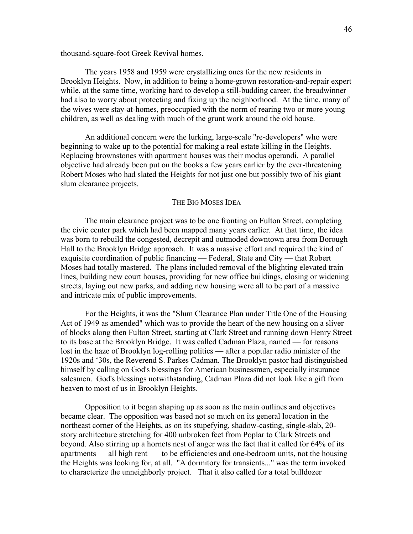thousand-square-foot Greek Revival homes.

 The years 1958 and 1959 were crystallizing ones for the new residents in Brooklyn Heights. Now, in addition to being a home-grown restoration-and-repair expert while, at the same time, working hard to develop a still-budding career, the breadwinner had also to worry about protecting and fixing up the neighborhood. At the time, many of the wives were stay-at-homes, preoccupied with the norm of rearing two or more young children, as well as dealing with much of the grunt work around the old house.

 An additional concern were the lurking, large-scale "re-developers" who were beginning to wake up to the potential for making a real estate killing in the Heights. Replacing brownstones with apartment houses was their modus operandi. A parallel objective had already been put on the books a few years earlier by the ever-threatening Robert Moses who had slated the Heights for not just one but possibly two of his giant slum clearance projects.

### THE BIG MOSES IDEA

 The main clearance project was to be one fronting on Fulton Street, completing the civic center park which had been mapped many years earlier. At that time, the idea was born to rebuild the congested, decrepit and outmoded downtown area from Borough Hall to the Brooklyn Bridge approach. It was a massive effort and required the kind of exquisite coordination of public financing — Federal, State and City — that Robert Moses had totally mastered. The plans included removal of the blighting elevated train lines, building new court houses, providing for new office buildings, closing or widening streets, laying out new parks, and adding new housing were all to be part of a massive and intricate mix of public improvements.

 For the Heights, it was the "Slum Clearance Plan under Title One of the Housing Act of 1949 as amended" which was to provide the heart of the new housing on a sliver of blocks along then Fulton Street, starting at Clark Street and running down Henry Street to its base at the Brooklyn Bridge. It was called Cadman Plaza, named — for reasons lost in the haze of Brooklyn log-rolling politics — after a popular radio minister of the 1920s and '30s, the Reverend S. Parkes Cadman. The Brooklyn pastor had distinguished himself by calling on God's blessings for American businessmen, especially insurance salesmen. God's blessings notwithstanding, Cadman Plaza did not look like a gift from heaven to most of us in Brooklyn Heights.

 Opposition to it began shaping up as soon as the main outlines and objectives became clear. The opposition was based not so much on its general location in the northeast corner of the Heights, as on its stupefying, shadow-casting, single-slab, 20 story architecture stretching for 400 unbroken feet from Poplar to Clark Streets and beyond. Also stirring up a hornets nest of anger was the fact that it called for 64% of its apartments — all high rent — to be efficiencies and one-bedroom units, not the housing the Heights was looking for, at all. "A dormitory for transients..." was the term invoked to characterize the unneighborly project. That it also called for a total bulldozer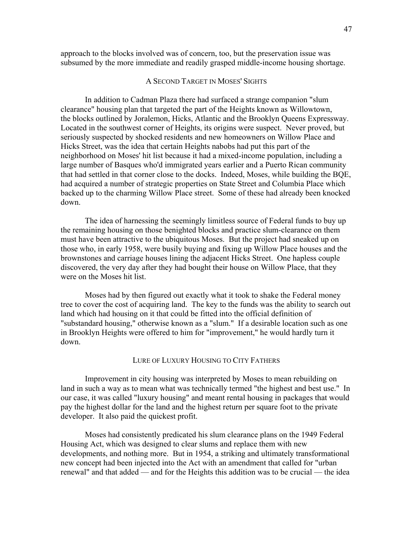approach to the blocks involved was of concern, too, but the preservation issue was subsumed by the more immediate and readily grasped middle-income housing shortage.

### A SECOND TARGET IN MOSES' SIGHTS

 In addition to Cadman Plaza there had surfaced a strange companion "slum clearance" housing plan that targeted the part of the Heights known as Willowtown, the blocks outlined by Joralemon, Hicks, Atlantic and the Brooklyn Queens Expressway. Located in the southwest corner of Heights, its origins were suspect. Never proved, but seriously suspected by shocked residents and new homeowners on Willow Place and Hicks Street, was the idea that certain Heights nabobs had put this part of the neighborhood on Moses' hit list because it had a mixed-income population, including a large number of Basques who'd immigrated years earlier and a Puerto Rican community that had settled in that corner close to the docks. Indeed, Moses, while building the BQE, had acquired a number of strategic properties on State Street and Columbia Place which backed up to the charming Willow Place street. Some of these had already been knocked down.

 The idea of harnessing the seemingly limitless source of Federal funds to buy up the remaining housing on those benighted blocks and practice slum-clearance on them must have been attractive to the ubiquitous Moses. But the project had sneaked up on those who, in early 1958, were busily buying and fixing up Willow Place houses and the brownstones and carriage houses lining the adjacent Hicks Street. One hapless couple discovered, the very day after they had bought their house on Willow Place, that they were on the Moses hit list.

 Moses had by then figured out exactly what it took to shake the Federal money tree to cover the cost of acquiring land. The key to the funds was the ability to search out land which had housing on it that could be fitted into the official definition of "substandard housing," otherwise known as a "slum." If a desirable location such as one in Brooklyn Heights were offered to him for "improvement," he would hardly turn it down.

### LURE OF LUXURY HOUSING TO CITY FATHERS

 Improvement in city housing was interpreted by Moses to mean rebuilding on land in such a way as to mean what was technically termed "the highest and best use." In our case, it was called "luxury housing" and meant rental housing in packages that would pay the highest dollar for the land and the highest return per square foot to the private developer. It also paid the quickest profit.

 Moses had consistently predicated his slum clearance plans on the 1949 Federal Housing Act, which was designed to clear slums and replace them with new developments, and nothing more. But in 1954, a striking and ultimately transformational new concept had been injected into the Act with an amendment that called for "urban renewal" and that added — and for the Heights this addition was to be crucial — the idea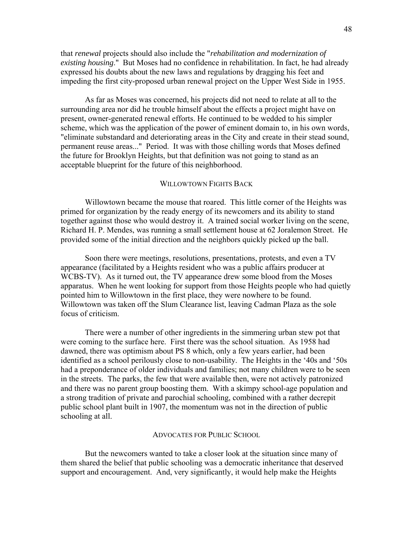that *renewal* projects should also include the "*rehabilitation and modernization of existing housing*." But Moses had no confidence in rehabilitation. In fact, he had already expressed his doubts about the new laws and regulations by dragging his feet and impeding the first city-proposed urban renewal project on the Upper West Side in 1955.

 As far as Moses was concerned, his projects did not need to relate at all to the surrounding area nor did he trouble himself about the effects a project might have on present, owner-generated renewal efforts. He continued to be wedded to his simpler scheme, which was the application of the power of eminent domain to, in his own words, "eliminate substandard and deteriorating areas in the City and create in their stead sound, permanent reuse areas..." Period. It was with those chilling words that Moses defined the future for Brooklyn Heights, but that definition was not going to stand as an acceptable blueprint for the future of this neighborhood.

### WILLOWTOWN FIGHTS BACK

 Willowtown became the mouse that roared. This little corner of the Heights was primed for organization by the ready energy of its newcomers and its ability to stand together against those who would destroy it. A trained social worker living on the scene, Richard H. P. Mendes, was running a small settlement house at 62 Joralemon Street. He provided some of the initial direction and the neighbors quickly picked up the ball.

 Soon there were meetings, resolutions, presentations, protests, and even a TV appearance (facilitated by a Heights resident who was a public affairs producer at WCBS-TV). As it turned out, the TV appearance drew some blood from the Moses apparatus. When he went looking for support from those Heights people who had quietly pointed him to Willowtown in the first place, they were nowhere to be found. Willowtown was taken off the Slum Clearance list, leaving Cadman Plaza as the sole focus of criticism.

 There were a number of other ingredients in the simmering urban stew pot that were coming to the surface here. First there was the school situation. As 1958 had dawned, there was optimism about PS 8 which, only a few years earlier, had been identified as a school perilously close to non-usability. The Heights in the '40s and '50s had a preponderance of older individuals and families; not many children were to be seen in the streets. The parks, the few that were available then, were not actively patronized and there was no parent group boosting them. With a skimpy school-age population and a strong tradition of private and parochial schooling, combined with a rather decrepit public school plant built in 1907, the momentum was not in the direction of public schooling at all.

#### ADVOCATES FOR PUBLIC SCHOOL

 But the newcomers wanted to take a closer look at the situation since many of them shared the belief that public schooling was a democratic inheritance that deserved support and encouragement. And, very significantly, it would help make the Heights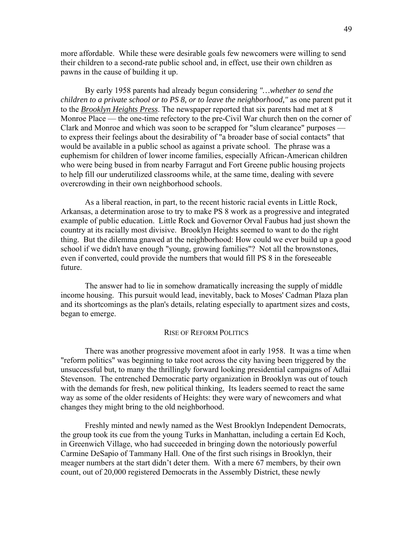more affordable. While these were desirable goals few newcomers were willing to send their children to a second-rate public school and, in effect, use their own children as pawns in the cause of building it up.

 By early 1958 parents had already begun considering *"…whether to send the children to a private school or to PS 8, or to leave the neighborhood,"* as one parent put it to the *Brooklyn Heights Press*. The newspaper reported that six parents had met at 8 Monroe Place — the one-time refectory to the pre-Civil War church then on the corner of Clark and Monroe and which was soon to be scrapped for "slum clearance" purposes to express their feelings about the desirability of "a broader base of social contacts" that would be available in a public school as against a private school. The phrase was a euphemism for children of lower income families, especially African-American children who were being bused in from nearby Farragut and Fort Greene public housing projects to help fill our underutilized classrooms while, at the same time, dealing with severe overcrowding in their own neighborhood schools.

 As a liberal reaction, in part, to the recent historic racial events in Little Rock, Arkansas, a determination arose to try to make PS 8 work as a progressive and integrated example of public education. Little Rock and Governor Orval Faubus had just shown the country at its racially most divisive. Brooklyn Heights seemed to want to do the right thing. But the dilemma gnawed at the neighborhood: How could we ever build up a good school if we didn't have enough "young, growing families"? Not all the brownstones, even if converted, could provide the numbers that would fill PS 8 in the foreseeable future.

 The answer had to lie in somehow dramatically increasing the supply of middle income housing. This pursuit would lead, inevitably, back to Moses' Cadman Plaza plan and its shortcomings as the plan's details, relating especially to apartment sizes and costs, began to emerge.

#### RISE OF REFORM POLITICS

 There was another progressive movement afoot in early 1958. It was a time when "reform politics" was beginning to take root across the city having been triggered by the unsuccessful but, to many the thrillingly forward looking presidential campaigns of Adlai Stevenson. The entrenched Democratic party organization in Brooklyn was out of touch with the demands for fresh, new political thinking, Its leaders seemed to react the same way as some of the older residents of Heights: they were wary of newcomers and what changes they might bring to the old neighborhood.

 Freshly minted and newly named as the West Brooklyn Independent Democrats, the group took its cue from the young Turks in Manhattan, including a certain Ed Koch, in Greenwich Village, who had succeeded in bringing down the notoriously powerful Carmine DeSapio of Tammany Hall. One of the first such risings in Brooklyn, their meager numbers at the start didn't deter them. With a mere 67 members, by their own count, out of 20,000 registered Democrats in the Assembly District, these newly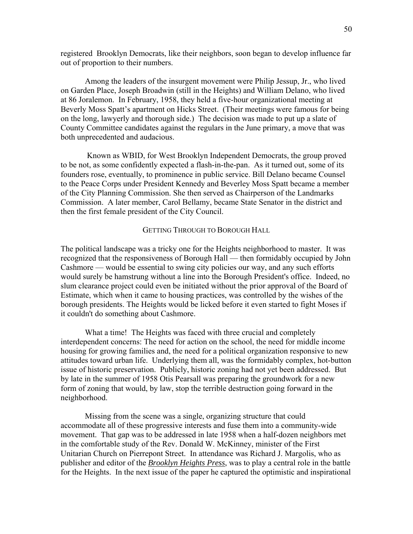registered Brooklyn Democrats, like their neighbors, soon began to develop influence far out of proportion to their numbers.

 Among the leaders of the insurgent movement were Philip Jessup, Jr., who lived on Garden Place, Joseph Broadwin (still in the Heights) and William Delano, who lived at 86 Joralemon. In February, 1958, they held a five-hour organizational meeting at Beverly Moss Spatt's apartment on Hicks Street. (Their meetings were famous for being on the long, lawyerly and thorough side.) The decision was made to put up a slate of County Committee candidates against the regulars in the June primary, a move that was both unprecedented and audacious.

 Known as WBID, for West Brooklyn Independent Democrats, the group proved to be not, as some confidently expected a flash-in-the-pan. As it turned out, some of its founders rose, eventually, to prominence in public service. Bill Delano became Counsel to the Peace Corps under President Kennedy and Beverley Moss Spatt became a member of the City Planning Commission. She then served as Chairperson of the Landmarks Commission. A later member, Carol Bellamy, became State Senator in the district and then the first female president of the City Council.

### GETTING THROUGH TO BOROUGH HALL

The political landscape was a tricky one for the Heights neighborhood to master. It was recognized that the responsiveness of Borough Hall — then formidably occupied by John Cashmore — would be essential to swing city policies our way, and any such efforts would surely be hamstrung without a line into the Borough President's office. Indeed, no slum clearance project could even be initiated without the prior approval of the Board of Estimate, which when it came to housing practices, was controlled by the wishes of the borough presidents. The Heights would be licked before it even started to fight Moses if it couldn't do something about Cashmore.

 What a time! The Heights was faced with three crucial and completely interdependent concerns: The need for action on the school, the need for middle income housing for growing families and, the need for a political organization responsive to new attitudes toward urban life. Underlying them all, was the formidably complex, hot-button issue of historic preservation. Publicly, historic zoning had not yet been addressed. But by late in the summer of 1958 Otis Pearsall was preparing the groundwork for a new form of zoning that would, by law, stop the terrible destruction going forward in the neighborhood.

 Missing from the scene was a single, organizing structure that could accommodate all of these progressive interests and fuse them into a community-wide movement. That gap was to be addressed in late 1958 when a half-dozen neighbors met in the comfortable study of the Rev. Donald W. McKinney, minister of the First Unitarian Church on Pierrepont Street. In attendance was Richard J. Margolis, who as publisher and editor of the *Brooklyn Heights Press*, was to play a central role in the battle for the Heights. In the next issue of the paper he captured the optimistic and inspirational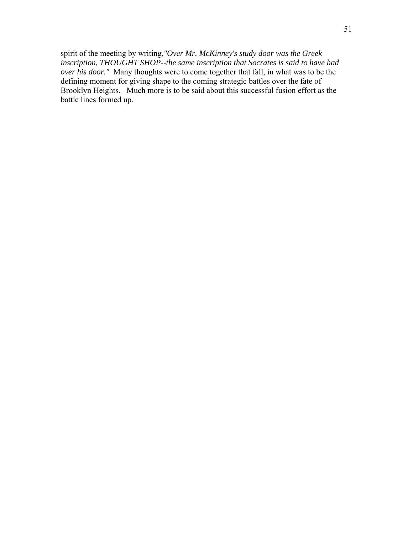spirit of the meeting by writing,*"Over Mr. McKinney's study door was the Greek inscription, THOUGHT SHOP--the same inscription that Socrates is said to have had over his door."* Many thoughts were to come together that fall, in what was to be the defining moment for giving shape to the coming strategic battles over the fate of Brooklyn Heights. Much more is to be said about this successful fusion effort as the battle lines formed up.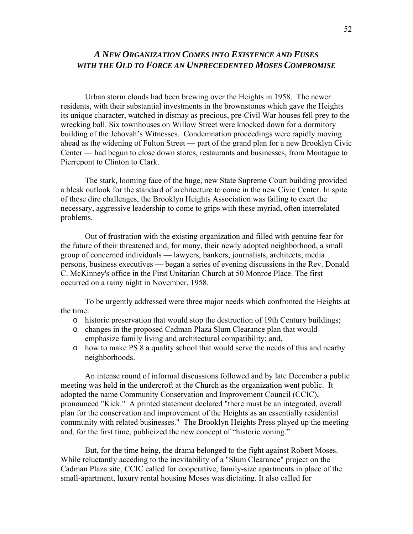# *A NEW ORGANIZATION COMES INTO EXISTENCE AND FUSES WITH THE OLD TO FORCE AN UNPRECEDENTED MOSES COMPROMISE*

 Urban storm clouds had been brewing over the Heights in 1958. The newer residents, with their substantial investments in the brownstones which gave the Heights its unique character, watched in dismay as precious, pre-Civil War houses fell prey to the wrecking ball. Six townhouses on Willow Street were knocked down for a dormitory building of the Jehovah's Witnesses. Condemnation proceedings were rapidly moving ahead as the widening of Fulton Street — part of the grand plan for a new Brooklyn Civic Center — had begun to close down stores, restaurants and businesses, from Montague to Pierrepont to Clinton to Clark.

 The stark, looming face of the huge, new State Supreme Court building provided a bleak outlook for the standard of architecture to come in the new Civic Center. In spite of these dire challenges, the Brooklyn Heights Association was failing to exert the necessary, aggressive leadership to come to grips with these myriad, often interrelated problems.

 Out of frustration with the existing organization and filled with genuine fear for the future of their threatened and, for many, their newly adopted neighborhood, a small group of concerned individuals — lawyers, bankers, journalists, architects, media persons, business executives — began a series of evening discussions in the Rev. Donald C. McKinney's office in the First Unitarian Church at 50 Monroe Place. The first occurred on a rainy night in November, 1958.

 To be urgently addressed were three major needs which confronted the Heights at the time:

- o historic preservation that would stop the destruction of 19th Century buildings;
- o changes in the proposed Cadman Plaza Slum Clearance plan that would emphasize family living and architectural compatibility; and,
- o how to make PS 8 a quality school that would serve the needs of this and nearby neighborhoods.

 An intense round of informal discussions followed and by late December a public meeting was held in the undercroft at the Church as the organization went public. It adopted the name Community Conservation and Improvement Council (CCIC), pronounced "Kick." A printed statement declared "there must be an integrated, overall plan for the conservation and improvement of the Heights as an essentially residential community with related businesses." The Brooklyn Heights Press played up the meeting and, for the first time, publicized the new concept of "historic zoning."

 But, for the time being, the drama belonged to the fight against Robert Moses. While reluctantly acceding to the inevitability of a "Slum Clearance" project on the Cadman Plaza site, CCIC called for cooperative, family-size apartments in place of the small-apartment, luxury rental housing Moses was dictating. It also called for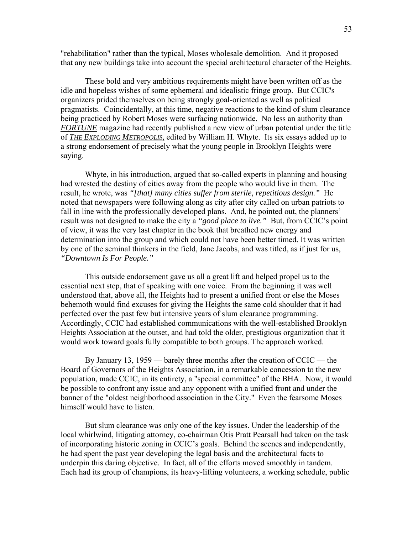"rehabilitation" rather than the typical, Moses wholesale demolition. And it proposed that any new buildings take into account the special architectural character of the Heights.

 These bold and very ambitious requirements might have been written off as the idle and hopeless wishes of some ephemeral and idealistic fringe group. But CCIC's organizers prided themselves on being strongly goal-oriented as well as political pragmatists. Coincidentally, at this time, negative reactions to the kind of slum clearance being practiced by Robert Moses were surfacing nationwide. No less an authority than *FORTUNE* magazine had recently published a new view of urban potential under the title of *THE EXPLODING METROPOLIS,* edited by William H. Whyte. Its six essays added up to a strong endorsement of precisely what the young people in Brooklyn Heights were saying.

 Whyte, in his introduction, argued that so-called experts in planning and housing had wrested the destiny of cities away from the people who would live in them. The result, he wrote, was *"[that] many cities suffer from sterile, repetitious design."* He noted that newspapers were following along as city after city called on urban patriots to fall in line with the professionally developed plans. And, he pointed out, the planners' result was not designed to make the city a *"good place to live."* But, from CCIC's point of view, it was the very last chapter in the book that breathed new energy and determination into the group and which could not have been better timed. It was written by one of the seminal thinkers in the field, Jane Jacobs, and was titled, as if just for us, *"Downtown Is For People."* 

 This outside endorsement gave us all a great lift and helped propel us to the essential next step, that of speaking with one voice. From the beginning it was well understood that, above all, the Heights had to present a unified front or else the Moses behemoth would find excuses for giving the Heights the same cold shoulder that it had perfected over the past few but intensive years of slum clearance programming. Accordingly, CCIC had established communications with the well-established Brooklyn Heights Association at the outset, and had told the older, prestigious organization that it would work toward goals fully compatible to both groups. The approach worked.

 By January 13, 1959 — barely three months after the creation of CCIC — the Board of Governors of the Heights Association, in a remarkable concession to the new population, made CCIC, in its entirety, a "special committee" of the BHA. Now, it would be possible to confront any issue and any opponent with a unified front and under the banner of the "oldest neighborhood association in the City." Even the fearsome Moses himself would have to listen.

 But slum clearance was only one of the key issues. Under the leadership of the local whirlwind, litigating attorney, co-chairman Otis Pratt Pearsall had taken on the task of incorporating historic zoning in CCIC's goals. Behind the scenes and independently, he had spent the past year developing the legal basis and the architectural facts to underpin this daring objective. In fact, all of the efforts moved smoothly in tandem. Each had its group of champions, its heavy-lifting volunteers, a working schedule, public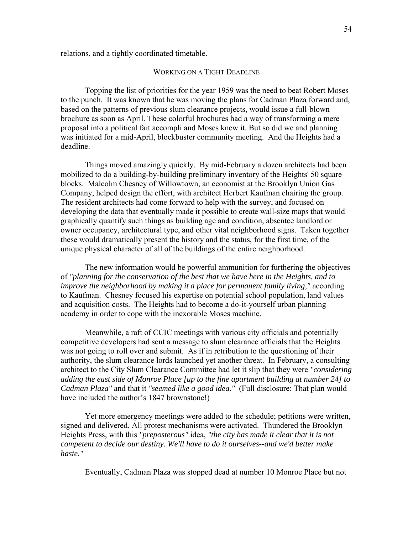relations, and a tightly coordinated timetable.

### WORKING ON A TIGHT DEADLINE

 Topping the list of priorities for the year 1959 was the need to beat Robert Moses to the punch. It was known that he was moving the plans for Cadman Plaza forward and, based on the patterns of previous slum clearance projects, would issue a full-blown brochure as soon as April. These colorful brochures had a way of transforming a mere proposal into a political fait accompli and Moses knew it. But so did we and planning was initiated for a mid-April, blockbuster community meeting. And the Heights had a deadline.

 Things moved amazingly quickly. By mid-February a dozen architects had been mobilized to do a building-by-building preliminary inventory of the Heights' 50 square blocks. Malcolm Chesney of Willowtown, an economist at the Brooklyn Union Gas Company, helped design the effort, with architect Herbert Kaufman chairing the group. The resident architects had come forward to help with the survey, and focused on developing the data that eventually made it possible to create wall-size maps that would graphically quantify such things as building age and condition, absentee landlord or owner occupancy, architectural type, and other vital neighborhood signs. Taken together these would dramatically present the history and the status, for the first time, of the unique physical character of all of the buildings of the entire neighborhood.

 The new information would be powerful ammunition for furthering the objectives of *"planning for the conservation of the best that we have here in the Heights, and to improve the neighborhood by making it a place for permanent family living,"* according to Kaufman. Chesney focused his expertise on potential school population, land values and acquisition costs. The Heights had to become a do-it-yourself urban planning academy in order to cope with the inexorable Moses machine.

 Meanwhile, a raft of CCIC meetings with various city officials and potentially competitive developers had sent a message to slum clearance officials that the Heights was not going to roll over and submit. As if in retribution to the questioning of their authority, the slum clearance lords launched yet another threat. In February, a consulting architect to the City Slum Clearance Committee had let it slip that they were *"considering adding the east side of Monroe Place [up to the fine apartment building at number 24] to Cadman Plaza"* and that it *"seemed like a good idea."* (Full disclosure: That plan would have included the author's 1847 brownstone!)

 Yet more emergency meetings were added to the schedule; petitions were written, signed and delivered. All protest mechanisms were activated. Thundered the Brooklyn Heights Press, with this *"preposterous"* idea, *"the city has made it clear that it is not competent to decide our destiny. We'll have to do it ourselves--and we'd better make haste."* 

Eventually, Cadman Plaza was stopped dead at number 10 Monroe Place but not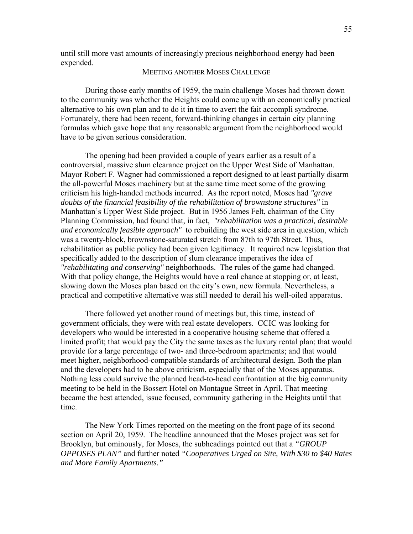until still more vast amounts of increasingly precious neighborhood energy had been expended.

### MEETING ANOTHER MOSES CHALLENGE

 During those early months of 1959, the main challenge Moses had thrown down to the community was whether the Heights could come up with an economically practical alternative to his own plan and to do it in time to avert the fait accompli syndrome. Fortunately, there had been recent, forward-thinking changes in certain city planning formulas which gave hope that any reasonable argument from the neighborhood would have to be given serious consideration.

 The opening had been provided a couple of years earlier as a result of a controversial, massive slum clearance project on the Upper West Side of Manhattan. Mayor Robert F. Wagner had commissioned a report designed to at least partially disarm the all-powerful Moses machinery but at the same time meet some of the growing criticism his high-handed methods incurred. As the report noted, Moses had *"grave doubts of the financial feasibility of the rehabilitation of brownstone structures"* in Manhattan's Upper West Side project. But in 1956 James Felt, chairman of the City Planning Commission, had found that, in fact, *"rehabilitation was a practical, desirable and economically feasible approach"* to rebuilding the west side area in question, which was a twenty-block, brownstone-saturated stretch from 87th to 97th Street. Thus, rehabilitation as public policy had been given legitimacy. It required new legislation that specifically added to the description of slum clearance imperatives the idea of *"rehabilitating and conserving"* neighborhoods. The rules of the game had changed. With that policy change, the Heights would have a real chance at stopping or, at least, slowing down the Moses plan based on the city's own, new formula. Nevertheless, a practical and competitive alternative was still needed to derail his well-oiled apparatus.

 There followed yet another round of meetings but, this time, instead of government officials, they were with real estate developers. CCIC was looking for developers who would be interested in a cooperative housing scheme that offered a limited profit; that would pay the City the same taxes as the luxury rental plan; that would provide for a large percentage of two- and three-bedroom apartments; and that would meet higher, neighborhood-compatible standards of architectural design. Both the plan and the developers had to be above criticism, especially that of the Moses apparatus. Nothing less could survive the planned head-to-head confrontation at the big community meeting to be held in the Bossert Hotel on Montague Street in April. That meeting became the best attended, issue focused, community gathering in the Heights until that time.

 The New York Times reported on the meeting on the front page of its second section on April 20, 1959. The headline announced that the Moses project was set for Brooklyn, but ominously, for Moses, the subheadings pointed out that a *"GROUP OPPOSES PLAN"* and further noted *"Cooperatives Urged on Site, With \$30 to \$40 Rates and More Family Apartments."*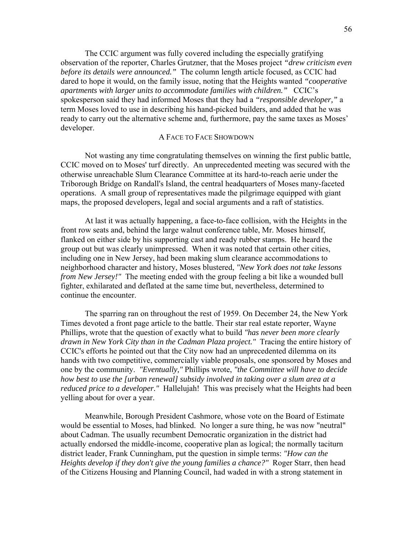The CCIC argument was fully covered including the especially gratifying observation of the reporter, Charles Grutzner, that the Moses project *"drew criticism even before its details were announced."* The column length article focused, as CCIC had dared to hope it would, on the family issue, noting that the Heights wanted *"cooperative apartments with larger units to accommodate families with children."* CCIC's spokesperson said they had informed Moses that they had a *"responsible developer,"* a term Moses loved to use in describing his hand-picked builders, and added that he was ready to carry out the alternative scheme and, furthermore, pay the same taxes as Moses' developer.

## A FACE TO FACE SHOWDOWN

 Not wasting any time congratulating themselves on winning the first public battle, CCIC moved on to Moses' turf directly. An unprecedented meeting was secured with the otherwise unreachable Slum Clearance Committee at its hard-to-reach aerie under the Triborough Bridge on Randall's Island, the central headquarters of Moses many-faceted operations. A small group of representatives made the pilgrimage equipped with giant maps, the proposed developers, legal and social arguments and a raft of statistics.

 At last it was actually happening, a face-to-face collision, with the Heights in the front row seats and, behind the large walnut conference table, Mr. Moses himself, flanked on either side by his supporting cast and ready rubber stamps. He heard the group out but was clearly unimpressed. When it was noted that certain other cities, including one in New Jersey, had been making slum clearance accommodations to neighborhood character and history, Moses blustered, *"New York does not take lessons from New Jersey!*" The meeting ended with the group feeling a bit like a wounded bull fighter, exhilarated and deflated at the same time but, nevertheless, determined to continue the encounter.

 The sparring ran on throughout the rest of 1959. On December 24, the New York Times devoted a front page article to the battle. Their star real estate reporter, Wayne Phillips, wrote that the question of exactly what to build *"has never been more clearly drawn in New York City than in the Cadman Plaza project."* Tracing the entire history of CCIC's efforts he pointed out that the City now had an unprecedented dilemma on its hands with two competitive, commercially viable proposals, one sponsored by Moses and one by the community. *"Eventually,"* Phillips wrote, *"the Committee will have to decide how best to use the [urban renewal] subsidy involved in taking over a slum area at a reduced price to a developer."* Hallelujah! This was precisely what the Heights had been yelling about for over a year.

 Meanwhile, Borough President Cashmore, whose vote on the Board of Estimate would be essential to Moses, had blinked. No longer a sure thing, he was now "neutral" about Cadman. The usually recumbent Democratic organization in the district had actually endorsed the middle-income, cooperative plan as logical; the normally taciturn district leader, Frank Cunningham, put the question in simple terms: *"How can the Heights develop if they don't give the young families a chance?"* Roger Starr, then head of the Citizens Housing and Planning Council, had waded in with a strong statement in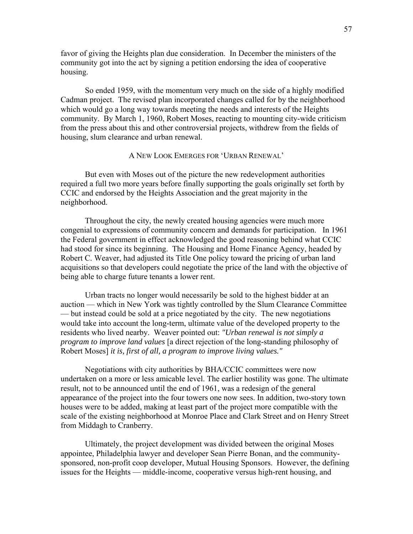favor of giving the Heights plan due consideration. In December the ministers of the community got into the act by signing a petition endorsing the idea of cooperative housing.

 So ended 1959, with the momentum very much on the side of a highly modified Cadman project. The revised plan incorporated changes called for by the neighborhood which would go a long way towards meeting the needs and interests of the Heights community. By March 1, 1960, Robert Moses, reacting to mounting city-wide criticism from the press about this and other controversial projects, withdrew from the fields of housing, slum clearance and urban renewal.

# A NEW LOOK EMERGES FOR 'URBAN RENEWAL'

 But even with Moses out of the picture the new redevelopment authorities required a full two more years before finally supporting the goals originally set forth by CCIC and endorsed by the Heights Association and the great majority in the neighborhood.

 Throughout the city, the newly created housing agencies were much more congenial to expressions of community concern and demands for participation. In 1961 the Federal government in effect acknowledged the good reasoning behind what CCIC had stood for since its beginning. The Housing and Home Finance Agency, headed by Robert C. Weaver, had adjusted its Title One policy toward the pricing of urban land acquisitions so that developers could negotiate the price of the land with the objective of being able to charge future tenants a lower rent.

 Urban tracts no longer would necessarily be sold to the highest bidder at an auction — which in New York was tightly controlled by the Slum Clearance Committee — but instead could be sold at a price negotiated by the city. The new negotiations would take into account the long-term, ultimate value of the developed property to the residents who lived nearby. Weaver pointed out: *"Urban renewal is not simply a program to improve land values* [a direct rejection of the long-standing philosophy of Robert Moses] *it is, first of all, a program to improve living values."*

 Negotiations with city authorities by BHA/CCIC committees were now undertaken on a more or less amicable level. The earlier hostility was gone. The ultimate result, not to be announced until the end of 1961, was a redesign of the general appearance of the project into the four towers one now sees. In addition, two-story town houses were to be added, making at least part of the project more compatible with the scale of the existing neighborhood at Monroe Place and Clark Street and on Henry Street from Middagh to Cranberry.

 Ultimately, the project development was divided between the original Moses appointee, Philadelphia lawyer and developer Sean Pierre Bonan, and the communitysponsored, non-profit coop developer, Mutual Housing Sponsors. However, the defining issues for the Heights — middle-income, cooperative versus high-rent housing, and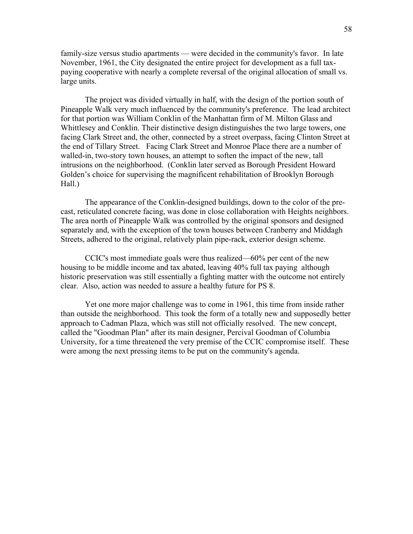family-size versus studio apartments — were decided in the community's favor. In late November, 1961, the City designated the entire project for development as a full taxpaying cooperative with nearly a complete reversal of the original allocation of small vs. large units.

 The project was divided virtually in half, with the design of the portion south of Pineapple Walk very much influenced by the community's preference. The lead architect for that portion was William Conklin of the Manhattan firm of M. Milton Glass and Whittlesey and Conklin. Their distinctive design distinguishes the two large towers, one facing Clark Street and, the other, connected by a street overpass, facing Clinton Street at the end of Tillary Street. Facing Clark Street and Monroe Place there are a number of walled-in, two-story town houses, an attempt to soften the impact of the new, tall intrusions on the neighborhood. (Conklin later served as Borough President Howard Golden's choice for supervising the magnificent rehabilitation of Brooklyn Borough Hall.)

 The appearance of the Conklin-designed buildings, down to the color of the precast, reticulated concrete facing, was done in close collaboration with Heights neighbors. The area north of Pineapple Walk was controlled by the original sponsors and designed separately and, with the exception of the town houses between Cranberry and Middagh Streets, adhered to the original, relatively plain pipe-rack, exterior design scheme.

 CCIC's most immediate goals were thus realized—60% per cent of the new housing to be middle income and tax abated, leaving 40% full tax paying although historic preservation was still essentially a fighting matter with the outcome not entirely clear. Also, action was needed to assure a healthy future for PS 8.

 Yet one more major challenge was to come in 1961, this time from inside rather than outside the neighborhood. This took the form of a totally new and supposedly better approach to Cadman Plaza, which was still not officially resolved. The new concept, called the "Goodman Plan" after its main designer, Percival Goodman of Columbia University, for a time threatened the very premise of the CCIC compromise itself. These were among the next pressing items to be put on the community's agenda.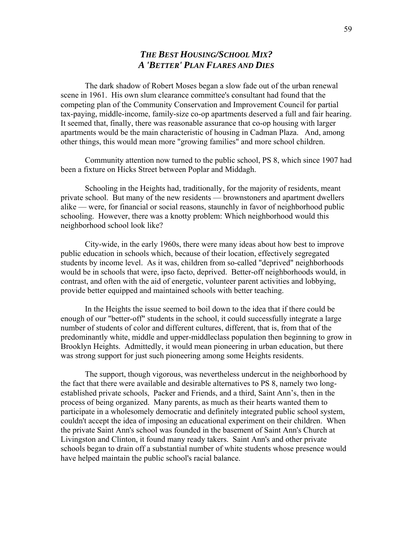# *THE BEST HOUSING/SCHOOL MIX? A 'BETTER' PLAN FLARES AND DIES*

 The dark shadow of Robert Moses began a slow fade out of the urban renewal scene in 1961. His own slum clearance committee's consultant had found that the competing plan of the Community Conservation and Improvement Council for partial tax-paying, middle-income, family-size co-op apartments deserved a full and fair hearing. It seemed that, finally, there was reasonable assurance that co-op housing with larger apartments would be the main characteristic of housing in Cadman Plaza. And, among other things, this would mean more "growing families" and more school children.

 Community attention now turned to the public school, PS 8, which since 1907 had been a fixture on Hicks Street between Poplar and Middagh.

 Schooling in the Heights had, traditionally, for the majority of residents, meant private school. But many of the new residents — brownstoners and apartment dwellers alike — were, for financial or social reasons, staunchly in favor of neighborhood public schooling. However, there was a knotty problem: Which neighborhood would this neighborhood school look like?

 City-wide, in the early 1960s, there were many ideas about how best to improve public education in schools which, because of their location, effectively segregated students by income level. As it was, children from so-called "deprived" neighborhoods would be in schools that were, ipso facto, deprived. Better-off neighborhoods would, in contrast, and often with the aid of energetic, volunteer parent activities and lobbying, provide better equipped and maintained schools with better teaching.

 In the Heights the issue seemed to boil down to the idea that if there could be enough of our "better-off" students in the school, it could successfully integrate a large number of students of color and different cultures, different, that is, from that of the predominantly white, middle and upper-middleclass population then beginning to grow in Brooklyn Heights. Admittedly, it would mean pioneering in urban education, but there was strong support for just such pioneering among some Heights residents.

 The support, though vigorous, was nevertheless undercut in the neighborhood by the fact that there were available and desirable alternatives to PS 8, namely two longestablished private schools, Packer and Friends, and a third, Saint Ann's, then in the process of being organized. Many parents, as much as their hearts wanted them to participate in a wholesomely democratic and definitely integrated public school system, couldn't accept the idea of imposing an educational experiment on their children. When the private Saint Ann's school was founded in the basement of Saint Ann's Church at Livingston and Clinton, it found many ready takers. Saint Ann's and other private schools began to drain off a substantial number of white students whose presence would have helped maintain the public school's racial balance.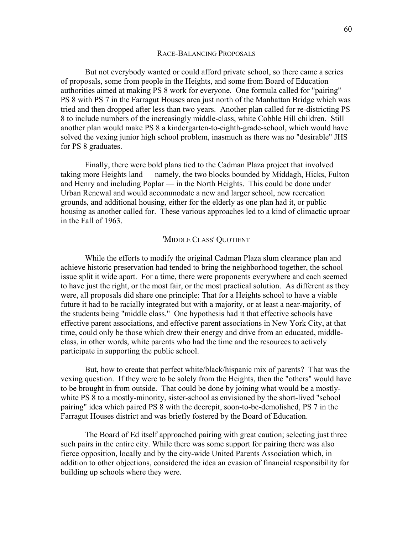#### RACE-BALANCING PROPOSALS

 But not everybody wanted or could afford private school, so there came a series of proposals, some from people in the Heights, and some from Board of Education authorities aimed at making PS 8 work for everyone. One formula called for "pairing" PS 8 with PS 7 in the Farragut Houses area just north of the Manhattan Bridge which was tried and then dropped after less than two years. Another plan called for re-districting PS 8 to include numbers of the increasingly middle-class, white Cobble Hill children. Still another plan would make PS 8 a kindergarten-to-eighth-grade-school, which would have solved the vexing junior high school problem, inasmuch as there was no "desirable" JHS for PS 8 graduates.

 Finally, there were bold plans tied to the Cadman Plaza project that involved taking more Heights land — namely, the two blocks bounded by Middagh, Hicks, Fulton and Henry and including Poplar — in the North Heights. This could be done under Urban Renewal and would accommodate a new and larger school, new recreation grounds, and additional housing, either for the elderly as one plan had it, or public housing as another called for. These various approaches led to a kind of climactic uproar in the Fall of 1963.

### 'MIDDLE CLASS' QUOTIENT

 While the efforts to modify the original Cadman Plaza slum clearance plan and achieve historic preservation had tended to bring the neighborhood together, the school issue split it wide apart. For a time, there were proponents everywhere and each seemed to have just the right, or the most fair, or the most practical solution. As different as they were, all proposals did share one principle: That for a Heights school to have a viable future it had to be racially integrated but with a majority, or at least a near-majority, of the students being "middle class." One hypothesis had it that effective schools have effective parent associations, and effective parent associations in New York City, at that time, could only be those which drew their energy and drive from an educated, middleclass, in other words, white parents who had the time and the resources to actively participate in supporting the public school.

 But, how to create that perfect white/black/hispanic mix of parents? That was the vexing question. If they were to be solely from the Heights, then the "others" would have to be brought in from outside. That could be done by joining what would be a mostlywhite PS 8 to a mostly-minority, sister-school as envisioned by the short-lived "school pairing" idea which paired PS 8 with the decrepit, soon-to-be-demolished, PS 7 in the Farragut Houses district and was briefly fostered by the Board of Education.

 The Board of Ed itself approached pairing with great caution; selecting just three such pairs in the entire city. While there was some support for pairing there was also fierce opposition, locally and by the city-wide United Parents Association which, in addition to other objections, considered the idea an evasion of financial responsibility for building up schools where they were.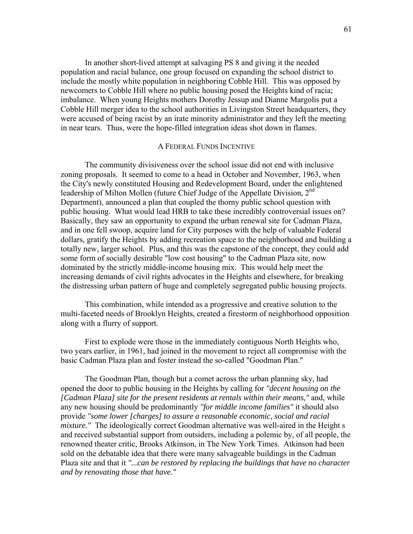In another short-lived attempt at salvaging PS 8 and giving it the needed population and racial balance, one group focused on expanding the school district to include the mostly white population in neighboring Cobble Hill. This was opposed by newcomers to Cobble Hill where no public housing posed the Heights kind of racia; imbalance. When young Heights mothers Dorothy Jessup and Dianne Margolis put a Cobble Hill merger idea to the school authorities in Livingston Street headquarters, they were accused of being racist by an irate minority administrator and they left the meeting in near tears. Thus, were the hope-filled integration ideas shot down in flames.

### A FEDERAL FUNDS INCENTIVE

 The community divisiveness over the school issue did not end with inclusive zoning proposals. It seemed to come to a head in October and November, 1963, when the City's newly constituted Housing and Redevelopment Board, under the enlightened leadership of Milton Mollen (future Chief Judge of the Appellate Division, 2<sup>nd</sup> Department), announced a plan that coupled the thorny public school question with public housing. What would lead HRB to take these incredibly controversial issues on? Basically, they saw an opportunity to expand the urban renewal site for Cadman Plaza, and in one fell swoop, acquire land for City purposes with the help of valuable Federal dollars, gratify the Heights by adding recreation space to the neighborhood and building a totally new, larger school. Plus, and this was the capstone of the concept, they could add some form of socially desirable "low cost housing" to the Cadman Plaza site, now dominated by the strictly middle-income housing mix. This would help meet the increasing demands of civil rights advocates in the Heights and elsewhere, for breaking the distressing urban pattern of huge and completely segregated public housing projects.

 This combination, while intended as a progressive and creative solution to the multi-faceted needs of Brooklyn Heights, created a firestorm of neighborhood opposition along with a flurry of support.

 First to explode were those in the immediately contiguous North Heights who, two years earlier, in 1961, had joined in the movement to reject all compromise with the basic Cadman Plaza plan and foster instead the so-called "Goodman Plan."

 The Goodman Plan, though but a comet across the urban planning sky, had opened the door to public housing in the Heights by calling for *"decent housing on the [Cadman Plaza] site for the present residents at rentals within their means,"* and, while any new housing should be predominantly *"for middle income families"* it should also provide *"some lower [charges] to assure a reasonable economic, social and racial mixture.*" The ideologically correct Goodman alternative was well-aired in the Height s and received substantial support from outsiders, including a polemic by, of all people, the renowned theater critic, Brooks Atkinson, in The New York Times. Atkinson had been sold on the debatable idea that there were many salvageable buildings in the Cadman Plaza site and that it *"...can be restored by replacing the buildings that have no character and by renovating those that have."*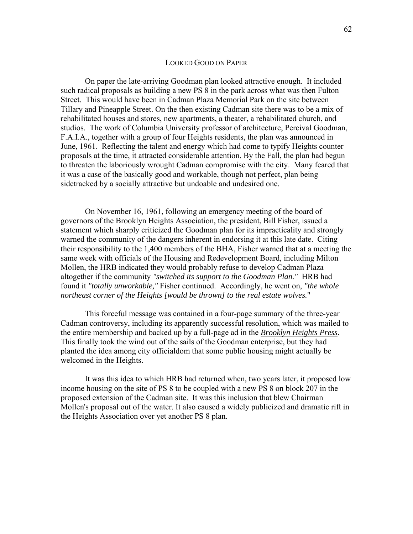### LOOKED GOOD ON PAPER

 On paper the late-arriving Goodman plan looked attractive enough. It included such radical proposals as building a new PS 8 in the park across what was then Fulton Street. This would have been in Cadman Plaza Memorial Park on the site between Tillary and Pineapple Street. On the then existing Cadman site there was to be a mix of rehabilitated houses and stores, new apartments, a theater, a rehabilitated church, and studios. The work of Columbia University professor of architecture, Percival Goodman, F.A.I.A., together with a group of four Heights residents, the plan was announced in June, 1961. Reflecting the talent and energy which had come to typify Heights counter proposals at the time, it attracted considerable attention. By the Fall, the plan had begun to threaten the laboriously wrought Cadman compromise with the city. Many feared that it was a case of the basically good and workable, though not perfect, plan being sidetracked by a socially attractive but undoable and undesired one.

 On November 16, 1961, following an emergency meeting of the board of governors of the Brooklyn Heights Association, the president, Bill Fisher, issued a statement which sharply criticized the Goodman plan for its impracticality and strongly warned the community of the dangers inherent in endorsing it at this late date. Citing their responsibility to the 1,400 members of the BHA, Fisher warned that at a meeting the same week with officials of the Housing and Redevelopment Board, including Milton Mollen, the HRB indicated they would probably refuse to develop Cadman Plaza altogether if the community *"switched its support to the Goodman Plan."* HRB had found it *"totally unworkable,"* Fisher continued. Accordingly, he went on, *"the whole northeast corner of the Heights [would be thrown] to the real estate wolves.*"

 This forceful message was contained in a four-page summary of the three-year Cadman controversy, including its apparently successful resolution, which was mailed to the entire membership and backed up by a full-page ad in the *Brooklyn Heights Press*. This finally took the wind out of the sails of the Goodman enterprise, but they had planted the idea among city officialdom that some public housing might actually be welcomed in the Heights.

 It was this idea to which HRB had returned when, two years later, it proposed low income housing on the site of PS 8 to be coupled with a new PS 8 on block 207 in the proposed extension of the Cadman site. It was this inclusion that blew Chairman Mollen's proposal out of the water. It also caused a widely publicized and dramatic rift in the Heights Association over yet another PS 8 plan.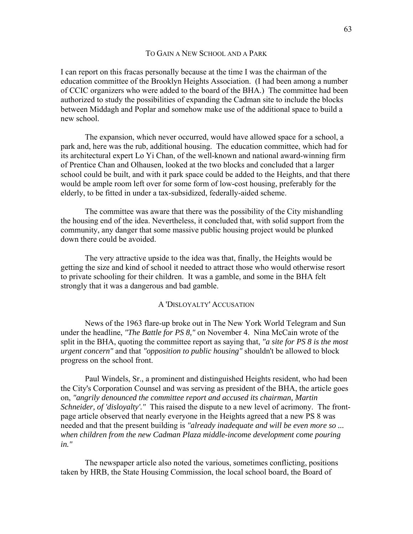### TO GAIN A NEW SCHOOL AND A PARK

I can report on this fracas personally because at the time I was the chairman of the education committee of the Brooklyn Heights Association. (I had been among a number of CCIC organizers who were added to the board of the BHA.) The committee had been authorized to study the possibilities of expanding the Cadman site to include the blocks between Middagh and Poplar and somehow make use of the additional space to build a new school.

 The expansion, which never occurred, would have allowed space for a school, a park and, here was the rub, additional housing. The education committee, which had for its architectural expert Lo Yi Chan, of the well-known and national award-winning firm of Prentice Chan and Olhausen, looked at the two blocks and concluded that a larger school could be built, and with it park space could be added to the Heights, and that there would be ample room left over for some form of low-cost housing, preferably for the elderly, to be fitted in under a tax-subsidized, federally-aided scheme.

 The committee was aware that there was the possibility of the City mishandling the housing end of the idea. Nevertheless, it concluded that, with solid support from the community, any danger that some massive public housing project would be plunked down there could be avoided.

 The very attractive upside to the idea was that, finally, the Heights would be getting the size and kind of school it needed to attract those who would otherwise resort to private schooling for their children. It was a gamble, and some in the BHA felt strongly that it was a dangerous and bad gamble.

# A 'DISLOYALTY' ACCUSATION

 News of the 1963 flare-up broke out in The New York World Telegram and Sun under the headline, *"The Battle for PS 8,"* on November 4. Nina McCain wrote of the split in the BHA, quoting the committee report as saying that, *"a site for PS 8 is the most urgent concern"* and that *"opposition to public housing"* shouldn't be allowed to block progress on the school front.

 Paul Windels, Sr., a prominent and distinguished Heights resident, who had been the City's Corporation Counsel and was serving as president of the BHA, the article goes on, *"angrily denounced the committee report and accused its chairman, Martin Schneider, of 'disloyalty'."* This raised the dispute to a new level of acrimony. The frontpage article observed that nearly everyone in the Heights agreed that a new PS 8 was needed and that the present building is *"already inadequate and will be even more so ... when children from the new Cadman Plaza middle-income development come pouring in."* 

 The newspaper article also noted the various, sometimes conflicting, positions taken by HRB, the State Housing Commission, the local school board, the Board of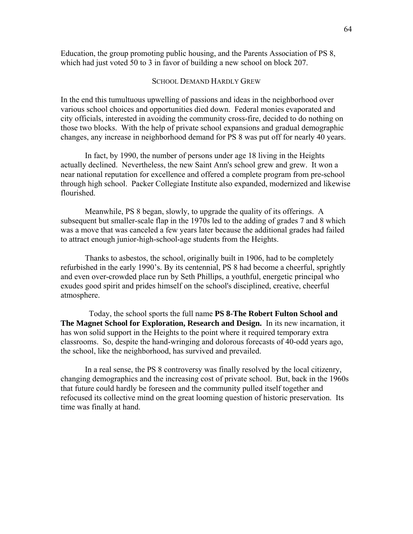Education, the group promoting public housing, and the Parents Association of PS 8, which had just voted 50 to 3 in favor of building a new school on block 207.

# SCHOOL DEMAND HARDLY GREW

In the end this tumultuous upwelling of passions and ideas in the neighborhood over various school choices and opportunities died down. Federal monies evaporated and city officials, interested in avoiding the community cross-fire, decided to do nothing on those two blocks. With the help of private school expansions and gradual demographic changes, any increase in neighborhood demand for PS 8 was put off for nearly 40 years.

 In fact, by 1990, the number of persons under age 18 living in the Heights actually declined. Nevertheless, the new Saint Ann's school grew and grew. It won a near national reputation for excellence and offered a complete program from pre-school through high school. Packer Collegiate Institute also expanded, modernized and likewise flourished.

 Meanwhile, PS 8 began, slowly, to upgrade the quality of its offerings. A subsequent but smaller-scale flap in the 1970s led to the adding of grades 7 and 8 which was a move that was canceled a few years later because the additional grades had failed to attract enough junior-high-school-age students from the Heights.

 Thanks to asbestos, the school, originally built in 1906, had to be completely refurbished in the early 1990's. By its centennial, PS 8 had become a cheerful, sprightly and even over-crowded place run by Seth Phillips, a youthful, energetic principal who exudes good spirit and prides himself on the school's disciplined, creative, cheerful atmosphere.

 Today, the school sports the full name **PS 8-The Robert Fulton School and The Magnet School for Exploration, Research and Design.** In its new incarnation, it has won solid support in the Heights to the point where it required temporary extra classrooms. So, despite the hand-wringing and dolorous forecasts of 40-odd years ago, the school, like the neighborhood, has survived and prevailed.

 In a real sense, the PS 8 controversy was finally resolved by the local citizenry, changing demographics and the increasing cost of private school. But, back in the 1960s that future could hardly be foreseen and the community pulled itself together and refocused its collective mind on the great looming question of historic preservation. Its time was finally at hand.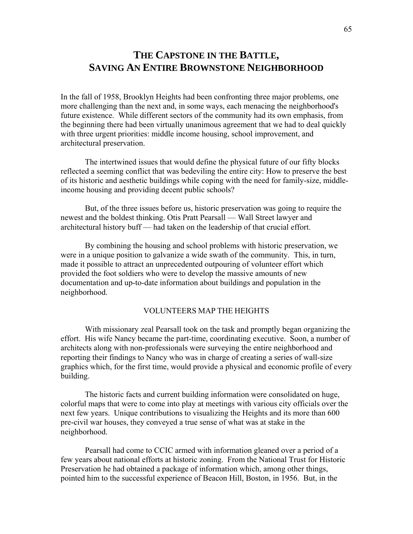# **THE CAPSTONE IN THE BATTLE, SAVING AN ENTIRE BROWNSTONE NEIGHBORHOOD**

In the fall of 1958, Brooklyn Heights had been confronting three major problems, one more challenging than the next and, in some ways, each menacing the neighborhood's future existence. While different sectors of the community had its own emphasis, from the beginning there had been virtually unanimous agreement that we had to deal quickly with three urgent priorities: middle income housing, school improvement, and architectural preservation.

 The intertwined issues that would define the physical future of our fifty blocks reflected a seeming conflict that was bedeviling the entire city: How to preserve the best of its historic and aesthetic buildings while coping with the need for family-size, middleincome housing and providing decent public schools?

 But, of the three issues before us, historic preservation was going to require the newest and the boldest thinking. Otis Pratt Pearsall — Wall Street lawyer and architectural history buff — had taken on the leadership of that crucial effort.

 By combining the housing and school problems with historic preservation, we were in a unique position to galvanize a wide swath of the community. This, in turn, made it possible to attract an unprecedented outpouring of volunteer effort which provided the foot soldiers who were to develop the massive amounts of new documentation and up-to-date information about buildings and population in the neighborhood.

## VOLUNTEERS MAP THE HEIGHTS

 With missionary zeal Pearsall took on the task and promptly began organizing the effort. His wife Nancy became the part-time, coordinating executive. Soon, a number of architects along with non-professionals were surveying the entire neighborhood and reporting their findings to Nancy who was in charge of creating a series of wall-size graphics which, for the first time, would provide a physical and economic profile of every building.

 The historic facts and current building information were consolidated on huge, colorful maps that were to come into play at meetings with various city officials over the next few years. Unique contributions to visualizing the Heights and its more than 600 pre-civil war houses, they conveyed a true sense of what was at stake in the neighborhood.

 Pearsall had come to CCIC armed with information gleaned over a period of a few years about national efforts at historic zoning. From the National Trust for Historic Preservation he had obtained a package of information which, among other things, pointed him to the successful experience of Beacon Hill, Boston, in 1956. But, in the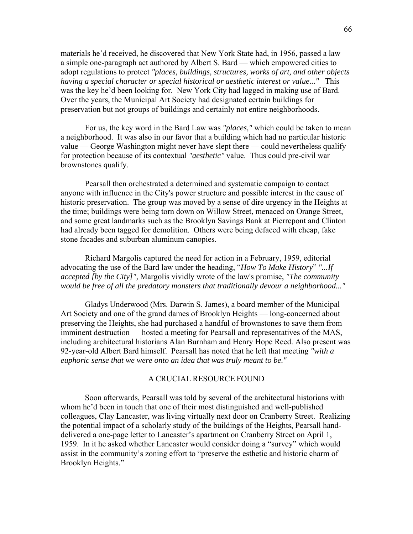materials he'd received, he discovered that New York State had, in 1956, passed a law a simple one-paragraph act authored by Albert S. Bard — which empowered cities to adopt regulations to protect *"places, buildings, structures, works of art, and other objects having a special character or special historical or aesthetic interest or value..."* This was the key he'd been looking for. New York City had lagged in making use of Bard. Over the years, the Municipal Art Society had designated certain buildings for preservation but not groups of buildings and certainly not entire neighborhoods.

 For us, the key word in the Bard Law was *"places,"* which could be taken to mean a neighborhood. It was also in our favor that a building which had no particular historic value — George Washington might never have slept there — could nevertheless qualify for protection because of its contextual *"aesthetic"* value. Thus could pre-civil war brownstones qualify.

 Pearsall then orchestrated a determined and systematic campaign to contact anyone with influence in the City's power structure and possible interest in the cause of historic preservation. The group was moved by a sense of dire urgency in the Heights at the time; buildings were being torn down on Willow Street, menaced on Orange Street, and some great landmarks such as the Brooklyn Savings Bank at Pierrepont and Clinton had already been tagged for demolition. Others were being defaced with cheap, fake stone facades and suburban aluminum canopies.

 Richard Margolis captured the need for action in a February, 1959, editorial advocating the use of the Bard law under the heading, "*How To Make History*" *"...If accepted [by the City]",* Margolis vividly wrote of the law's promise, *"The community would be free of all the predatory monsters that traditionally devour a neighborhood..."*

 Gladys Underwood (Mrs. Darwin S. James), a board member of the Municipal Art Society and one of the grand dames of Brooklyn Heights — long-concerned about preserving the Heights, she had purchased a handful of brownstones to save them from imminent destruction — hosted a meeting for Pearsall and representatives of the MAS, including architectural historians Alan Burnham and Henry Hope Reed. Also present was 92-year-old Albert Bard himself. Pearsall has noted that he left that meeting *"with a euphoric sense that we were onto an idea that was truly meant to be."* 

### A CRUCIAL RESOURCE FOUND

 Soon afterwards, Pearsall was told by several of the architectural historians with whom he'd been in touch that one of their most distinguished and well-published colleagues, Clay Lancaster, was living virtually next door on Cranberry Street. Realizing the potential impact of a scholarly study of the buildings of the Heights, Pearsall handdelivered a one-page letter to Lancaster's apartment on Cranberry Street on April 1, 1959. In it he asked whether Lancaster would consider doing a "survey" which would assist in the community's zoning effort to "preserve the esthetic and historic charm of Brooklyn Heights."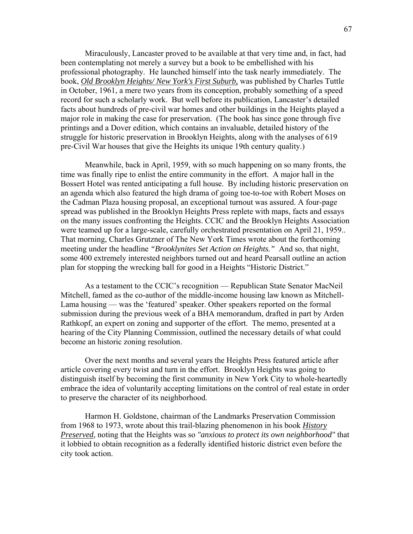Miraculously, Lancaster proved to be available at that very time and, in fact, had been contemplating not merely a survey but a book to be embellished with his professional photography. He launched himself into the task nearly immediately. The book, *Old Brooklyn Heights/ New York's First Suburb,* was published by Charles Tuttle in October, 1961, a mere two years from its conception, probably something of a speed record for such a scholarly work. But well before its publication, Lancaster's detailed facts about hundreds of pre-civil war homes and other buildings in the Heights played a major role in making the case for preservation. (The book has since gone through five printings and a Dover edition, which contains an invaluable, detailed history of the struggle for historic preservation in Brooklyn Heights, along with the analyses of 619 pre-Civil War houses that give the Heights its unique 19th century quality.)

 Meanwhile, back in April, 1959, with so much happening on so many fronts, the time was finally ripe to enlist the entire community in the effort. A major hall in the Bossert Hotel was rented anticipating a full house. By including historic preservation on an agenda which also featured the high drama of going toe-to-toe with Robert Moses on the Cadman Plaza housing proposal, an exceptional turnout was assured. A four-page spread was published in the Brooklyn Heights Press replete with maps, facts and essays on the many issues confronting the Heights. CCIC and the Brooklyn Heights Association were teamed up for a large-scale, carefully orchestrated presentation on April 21, 1959.. That morning, Charles Grutzner of The New York Times wrote about the forthcoming meeting under the headline *"Brooklynites Set Action on Heights."* And so, that night, some 400 extremely interested neighbors turned out and heard Pearsall outline an action plan for stopping the wrecking ball for good in a Heights "Historic District."

 As a testament to the CCIC's recognition — Republican State Senator MacNeil Mitchell, famed as the co-author of the middle-income housing law known as Mitchell-Lama housing — was the 'featured' speaker. Other speakers reported on the formal submission during the previous week of a BHA memorandum, drafted in part by Arden Rathkopf, an expert on zoning and supporter of the effort. The memo, presented at a hearing of the City Planning Commission, outlined the necessary details of what could become an historic zoning resolution.

 Over the next months and several years the Heights Press featured article after article covering every twist and turn in the effort. Brooklyn Heights was going to distinguish itself by becoming the first community in New York City to whole-heartedly embrace the idea of voluntarily accepting limitations on the control of real estate in order to preserve the character of its neighborhood.

 Harmon H. Goldstone, chairman of the Landmarks Preservation Commission from 1968 to 1973, wrote about this trail-blazing phenomenon in his book *History Preserved*, noting that the Heights was so *"anxious to protect its own neighborhood"* that it lobbied to obtain recognition as a federally identified historic district even before the city took action.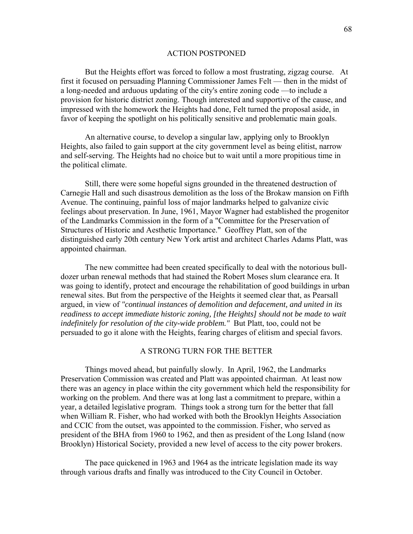#### ACTION POSTPONED

 But the Heights effort was forced to follow a most frustrating, zigzag course. At first it focused on persuading Planning Commissioner James Felt — then in the midst of a long-needed and arduous updating of the city's entire zoning code —to include a provision for historic district zoning. Though interested and supportive of the cause, and impressed with the homework the Heights had done, Felt turned the proposal aside, in favor of keeping the spotlight on his politically sensitive and problematic main goals.

 An alternative course, to develop a singular law, applying only to Brooklyn Heights, also failed to gain support at the city government level as being elitist, narrow and self-serving. The Heights had no choice but to wait until a more propitious time in the political climate.

 Still, there were some hopeful signs grounded in the threatened destruction of Carnegie Hall and such disastrous demolition as the loss of the Brokaw mansion on Fifth Avenue. The continuing, painful loss of major landmarks helped to galvanize civic feelings about preservation. In June, 1961, Mayor Wagner had established the progenitor of the Landmarks Commission in the form of a "Committee for the Preservation of Structures of Historic and Aesthetic Importance." Geoffrey Platt, son of the distinguished early 20th century New York artist and architect Charles Adams Platt, was appointed chairman.

 The new committee had been created specifically to deal with the notorious bulldozer urban renewal methods that had stained the Robert Moses slum clearance era. It was going to identify, protect and encourage the rehabilitation of good buildings in urban renewal sites. But from the perspective of the Heights it seemed clear that, as Pearsall argued, in view of *"continual instances of demolition and defacement, and united in its readiness to accept immediate historic zoning, [the Heights] should not be made to wait indefinitely for resolution of the city-wide problem."* But Platt, too, could not be persuaded to go it alone with the Heights, fearing charges of elitism and special favors.

### A STRONG TURN FOR THE BETTER

 Things moved ahead, but painfully slowly. In April, 1962, the Landmarks Preservation Commission was created and Platt was appointed chairman. At least now there was an agency in place within the city government which held the responsibility for working on the problem. And there was at long last a commitment to prepare, within a year, a detailed legislative program. Things took a strong turn for the better that fall when William R. Fisher, who had worked with both the Brooklyn Heights Association and CCIC from the outset, was appointed to the commission. Fisher, who served as president of the BHA from 1960 to 1962, and then as president of the Long Island (now Brooklyn) Historical Society, provided a new level of access to the city power brokers.

 The pace quickened in 1963 and 1964 as the intricate legislation made its way through various drafts and finally was introduced to the City Council in October.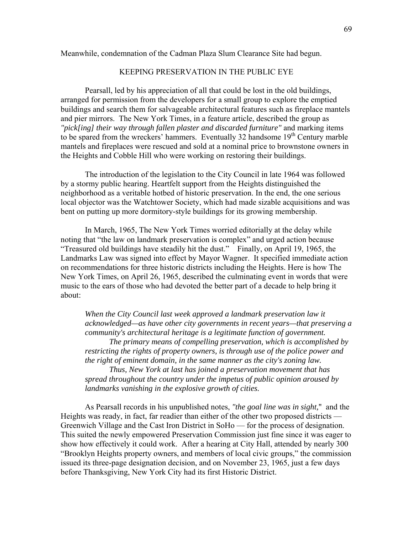### Meanwhile, condemnation of the Cadman Plaza Slum Clearance Site had begun.

# KEEPING PRESERVATION IN THE PUBLIC EYE

 Pearsall, led by his appreciation of all that could be lost in the old buildings, arranged for permission from the developers for a small group to explore the emptied buildings and search them for salvageable architectural features such as fireplace mantels and pier mirrors. The New York Times, in a feature article, described the group as *"pick[ing] their way through fallen plaster and discarded furniture"* and marking items to be spared from the wreckers' hammers. Eventually 32 handsome 19<sup>th</sup> Century marble mantels and fireplaces were rescued and sold at a nominal price to brownstone owners in the Heights and Cobble Hill who were working on restoring their buildings.

 The introduction of the legislation to the City Council in late 1964 was followed by a stormy public hearing. Heartfelt support from the Heights distinguished the neighborhood as a veritable hotbed of historic preservation. In the end, the one serious local objector was the Watchtower Society, which had made sizable acquisitions and was bent on putting up more dormitory-style buildings for its growing membership.

 In March, 1965, The New York Times worried editorially at the delay while noting that "the law on landmark preservation is complex" and urged action because "Treasured old buildings have steadily hit the dust." Finally, on April 19, 1965, the Landmarks Law was signed into effect by Mayor Wagner. It specified immediate action on recommendations for three historic districts including the Heights. Here is how The New York Times, on April 26, 1965, described the culminating event in words that were music to the ears of those who had devoted the better part of a decade to help bring it about:

*When the City Council last week approved a landmark preservation law it acknowledged—as have other city governments in recent years—that preserving a community's architectural heritage is a legitimate function of government.* 

 *The primary means of compelling preservation, which is accomplished by restricting the rights of property owners, is through use of the police power and the right of eminent domain, in the same manner as the city's zoning law.* 

 *Thus, New York at last has joined a preservation movement that has spread throughout the country under the impetus of public opinion aroused by landmarks vanishing in the explosive growth of cities.* 

 As Pearsall records in his unpublished notes, *"the goal line was in sight,*" and the Heights was ready, in fact, far readier than either of the other two proposed districts — Greenwich Village and the Cast Iron District in SoHo — for the process of designation. This suited the newly empowered Preservation Commission just fine since it was eager to show how effectively it could work. After a hearing at City Hall, attended by nearly 300 "Brooklyn Heights property owners, and members of local civic groups," the commission issued its three-page designation decision, and on November 23, 1965, just a few days before Thanksgiving, New York City had its first Historic District.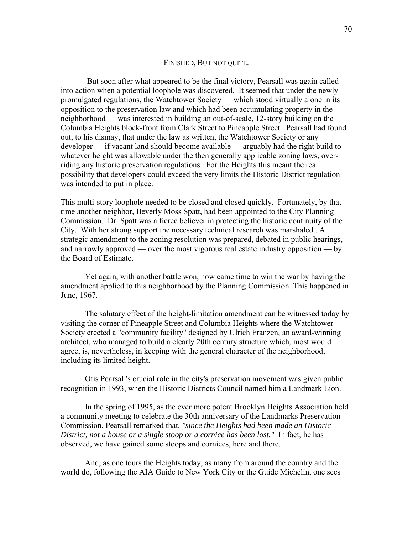#### FINISHED, BUT NOT QUITE.

 But soon after what appeared to be the final victory, Pearsall was again called into action when a potential loophole was discovered. It seemed that under the newly promulgated regulations, the Watchtower Society — which stood virtually alone in its opposition to the preservation law and which had been accumulating property in the neighborhood — was interested in building an out-of-scale, 12-story building on the Columbia Heights block-front from Clark Street to Pineapple Street. Pearsall had found out, to his dismay, that under the law as written, the Watchtower Society or any developer — if vacant land should become available — arguably had the right build to whatever height was allowable under the then generally applicable zoning laws, overriding any historic preservation regulations. For the Heights this meant the real possibility that developers could exceed the very limits the Historic District regulation was intended to put in place.

This multi-story loophole needed to be closed and closed quickly. Fortunately, by that time another neighbor, Beverly Moss Spatt, had been appointed to the City Planning Commission. Dr. Spatt was a fierce believer in protecting the historic continuity of the City. With her strong support the necessary technical research was marshaled.. A strategic amendment to the zoning resolution was prepared, debated in public hearings, and narrowly approved — over the most vigorous real estate industry opposition — by the Board of Estimate.

 Yet again, with another battle won, now came time to win the war by having the amendment applied to this neighborhood by the Planning Commission. This happened in June, 1967.

 The salutary effect of the height-limitation amendment can be witnessed today by visiting the corner of Pineapple Street and Columbia Heights where the Watchtower Society erected a "community facility" designed by Ulrich Franzen, an award-winning architect, who managed to build a clearly 20th century structure which, most would agree, is, nevertheless, in keeping with the general character of the neighborhood, including its limited height.

 Otis Pearsall's crucial role in the city's preservation movement was given public recognition in 1993, when the Historic Districts Council named him a Landmark Lion.

 In the spring of 1995, as the ever more potent Brooklyn Heights Association held a community meeting to celebrate the 30th anniversary of the Landmarks Preservation Commission, Pearsall remarked that, *"since the Heights had been made an Historic District, not a house or a single stoop or a cornice has been lost."* In fact, he has observed, we have gained some stoops and cornices, here and there.

 And, as one tours the Heights today, as many from around the country and the world do, following the AIA Guide to New York City or the Guide Michelin, one sees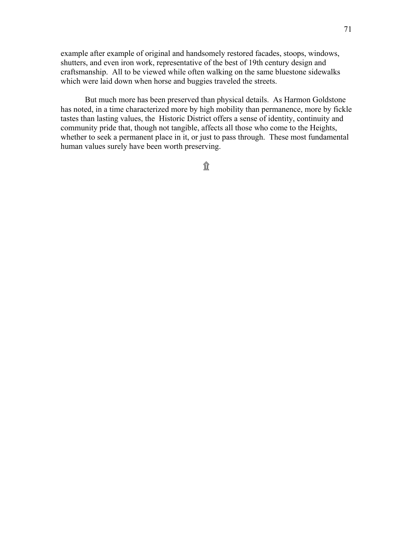example after example of original and handsomely restored facades, stoops, windows, shutters, and even iron work, representative of the best of 19th century design and craftsmanship. All to be viewed while often walking on the same bluestone sidewalks which were laid down when horse and buggies traveled the streets.

 But much more has been preserved than physical details. As Harmon Goldstone has noted, in a time characterized more by high mobility than permanence, more by fickle tastes than lasting values, the Historic District offers a sense of identity, continuity and community pride that, though not tangible, affects all those who come to the Heights, whether to seek a permanent place in it, or just to pass through. These most fundamental human values surely have been worth preserving.